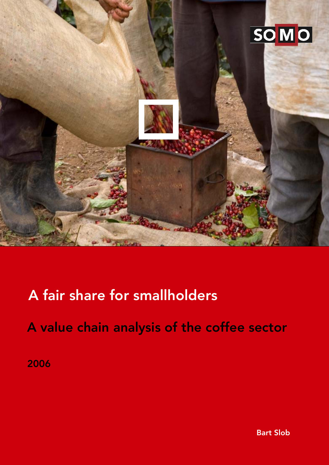

## A fair share for smallholders

A value chain analysis of the coffee sector

2006

Bart Slob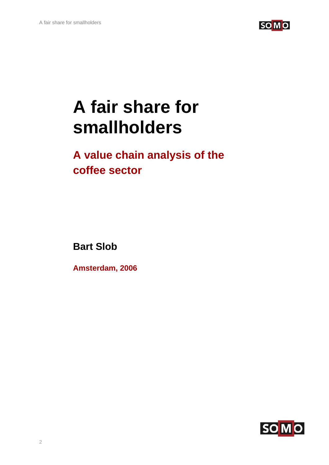

# **A fair share for smallholders**

## **A value chain analysis of the coffee sector**

**Bart Slob** 

**Amsterdam, 2006**

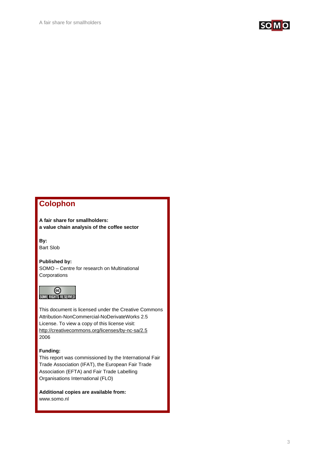

## **Colophon**

**A fair share for smallholders: a value chain analysis of the coffee sector** 

**By:**  Bart Slob

**Published by:**  SOMO – Centre for research on Multinational **Corporations** 



This document is licensed under the Creative Commons Attribution-NonCommercial-NoDerivateWorks 2.5 License. To view a copy of this license visit: http://creativecommons.org/licenses/by-nc-sa/2.5 2006

#### **Funding:**

This report was commissioned by the International Fair Trade Association (IFAT), the European Fair Trade Association (EFTA) and Fair Trade Labelling Organisations International (FLO)

**Additional copies are available from:** 

www.somo.nl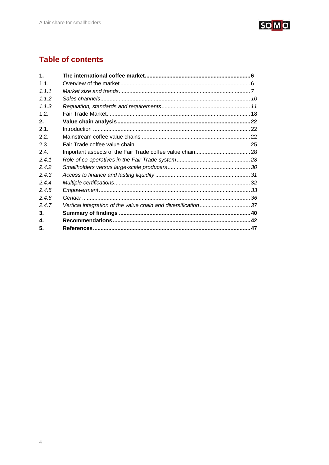

## **Table of contents**

| $\mathbf 1$ |                                                               |  |
|-------------|---------------------------------------------------------------|--|
| 11          |                                                               |  |
| 1.1.1       |                                                               |  |
| 112         |                                                               |  |
| 1.1.3       |                                                               |  |
| 12          |                                                               |  |
| 2.          |                                                               |  |
| 2.1.        |                                                               |  |
| 2.2.        |                                                               |  |
| 2.3.        |                                                               |  |
| 2.4.        |                                                               |  |
| 2.4.1       |                                                               |  |
| 2.4.2       |                                                               |  |
| 2.4.3       |                                                               |  |
| 2.4.4       |                                                               |  |
| 2.4.5       |                                                               |  |
| 2.4.6       |                                                               |  |
| 2.4.7       | Vertical integration of the value chain and diversification37 |  |
| З.          |                                                               |  |
| 4.          |                                                               |  |
| 5.          |                                                               |  |
|             |                                                               |  |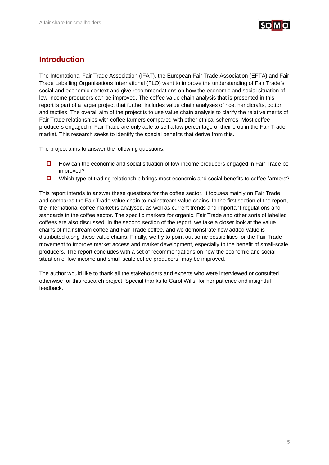

## **Introduction**

The International Fair Trade Association (IFAT), the European Fair Trade Association (EFTA) and Fair Trade Labelling Organisations International (FLO) want to improve the understanding of Fair Trade's social and economic context and give recommendations on how the economic and social situation of low-income producers can be improved. The coffee value chain analysis that is presented in this report is part of a larger project that further includes value chain analyses of rice, handicrafts, cotton and textiles. The overall aim of the project is to use value chain analysis to clarify the relative merits of Fair Trade relationships with coffee farmers compared with other ethical schemes. Most coffee producers engaged in Fair Trade are only able to sell a low percentage of their crop in the Fair Trade market. This research seeks to identify the special benefits that derive from this.

The project aims to answer the following questions:

- How can the economic and social situation of low-income producers engaged in Fair Trade be improved?
- $\Box$  Which type of trading relationship brings most economic and social benefits to coffee farmers?

This report intends to answer these questions for the coffee sector. It focuses mainly on Fair Trade and compares the Fair Trade value chain to mainstream value chains. In the first section of the report, the international coffee market is analysed, as well as current trends and important regulations and standards in the coffee sector. The specific markets for organic, Fair Trade and other sorts of labelled coffees are also discussed. In the second section of the report, we take a closer look at the value chains of mainstream coffee and Fair Trade coffee, and we demonstrate how added value is distributed along these value chains. Finally, we try to point out some possibilities for the Fair Trade movement to improve market access and market development, especially to the benefit of small-scale producers. The report concludes with a set of recommendations on how the economic and social situation of low-income and small-scale coffee producers<sup>1</sup> may be improved.

The author would like to thank all the stakeholders and experts who were interviewed or consulted otherwise for this research project. Special thanks to Carol Wills, for her patience and insightful feedback.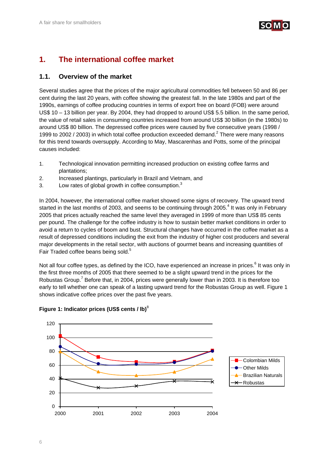

## **1. The international coffee market**

## **1.1. Overview of the market**

Several studies agree that the prices of the major agricultural commodities fell between 50 and 86 per cent during the last 20 years, with coffee showing the greatest fall. In the late 1980s and part of the 1990s, earnings of coffee producing countries in terms of export free on board (FOB) were around US\$ 10 – 13 billion per year. By 2004, they had dropped to around US\$ 5.5 billion. In the same period, the value of retail sales in consuming countries increased from around US\$ 30 billion (in the 1980s) to around US\$ 80 billion. The depressed coffee prices were caused by five consecutive years (1998 / 1999 to 2002 / 2003) in which total coffee production exceeded demand.<sup>2</sup> There were many reasons for this trend towards oversupply. According to May, Mascarenhas and Potts, some of the principal causes included:

- 1. Technological innovation permitting increased production on existing coffee farms and plantations;
- 2. Increased plantings, particularly in Brazil and Vietnam, and
- 3. Low rates of global growth in coffee consumption.<sup>3</sup>

In 2004, however, the international coffee market showed some signs of recovery. The upward trend started in the last months of 2003, and seems to be continuing through 2005.<sup>4</sup> It was only in February 2005 that prices actually reached the same level they averaged in 1999 of more than US\$ 85 cents per pound. The challenge for the coffee industry is how to sustain better market conditions in order to avoid a return to cycles of boom and bust. Structural changes have occurred in the coffee market as a result of depressed conditions including the exit from the industry of higher cost producers and several major developments in the retail sector, with auctions of gourmet beans and increasing quantities of Fair Traded coffee beans being sold.<sup>5</sup>

Not all four coffee types, as defined by the ICO, have experienced an increase in prices.<sup>6</sup> It was only in the first three months of 2005 that there seemed to be a slight upward trend in the prices for the Robustas Group.<sup>7</sup> Before that, in 2004, prices were generally lower than in 2003. It is therefore too early to tell whether one can speak of a lasting upward trend for the Robustas Group as well. Figure 1 shows indicative coffee prices over the past five years.



### **Figure 1: Indicator prices (US\$ cents / lb)**<sup>8</sup>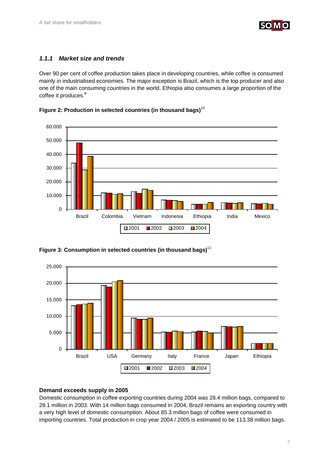

## *1.1.1 Market size and trends*

Over 90 per cent of coffee production takes place in developing countries, while coffee is consumed mainly in industrialised economies. The major exception is Brazil, which is the top producer and also one of the main consuming countries in the world. Ethiopia also consumes a large proportion of the coffee it produces.<sup>9</sup>







**Figure 3: Consumption in selected countries (in thousand bags)**<sup>11</sup>

### **Demand exceeds supply in 2005**

Domestic consumption in coffee exporting countries during 2004 was 28.4 million bags, compared to 28.1 million in 2003. With 14 million bags consumed in 2004, Brazil remains an exporting country with a very high level of domestic consumption. About 85.3 million bags of coffee were consumed in importing countries. Total production in crop year 2004 / 2005 is estimated to be 113.38 million bags.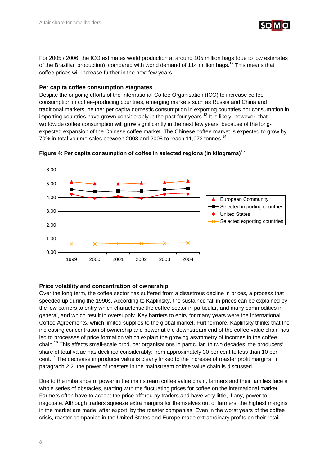

For 2005 / 2006, the ICO estimates world production at around 105 million bags (due to low estimates of the Brazilian production), compared with world demand of 114 million bags.<sup>12</sup> This means that coffee prices will increase further in the next few years.

## **Per capita coffee consumption stagnates**

Despite the ongoing efforts of the International Coffee Organisation (ICO) to increase coffee consumption in coffee-producing countries, emerging markets such as Russia and China and traditional markets, neither per capita domestic consumption in exporting countries nor consumption in importing countries have grown considerably in the past four years.<sup>13</sup> It is likely, however, that worldwide coffee consumption will grow significantly in the next few years, because of the longexpected expansion of the Chinese coffee market. The Chinese coffee market is expected to grow by 70% in total volume sales between 2003 and 2008 to reach 11,073 tonnes.<sup>14</sup>





## **Price volatility and concentration of ownership**

Over the long term, the coffee sector has suffered from a disastrous decline in prices, a process that speeded up during the 1990s. According to Kaplinsky, the sustained fall in prices can be explained by the low barriers to entry which characterise the coffee sector in particular, and many commodities in general, and which result in oversupply. Key barriers to entry for many years were the International Coffee Agreements, which limited supplies to the global market. Furthermore, Kaplinsky thinks that the increasing concentration of ownership and power at the downstream end of the coffee value chain has led to processes of price formation which explain the growing asymmetry of incomes in the coffee chain.16 This affects small-scale producer organisations in particular. In two decades, the producers' share of total value has declined considerably: from approximately 30 per cent to less than 10 per cent.<sup>17</sup> The decrease in producer value is clearly linked to the increase of roaster profit margins. In paragraph 2.2. the power of roasters in the mainstream coffee value chain is discussed.

Due to the imbalance of power in the mainstream coffee value chain, farmers and their families face a whole series of obstacles, starting with the fluctuating prices for coffee on the international market. Farmers often have to accept the price offered by traders and have very little, if any, power to negotiate. Although traders squeeze extra margins for themselves out of farmers, the highest margins in the market are made, after export, by the roaster companies. Even in the worst years of the coffee crisis, roaster companies in the United States and Europe made extraordinary profits on their retail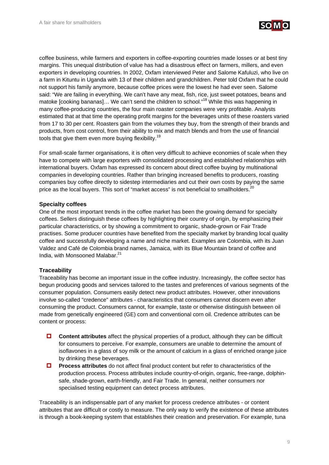

coffee business, while farmers and exporters in coffee-exporting countries made losses or at best tiny margins. This unequal distribution of value has had a disastrous effect on farmers, millers, and even exporters in developing countries. In 2002, Oxfam interviewed Peter and Salome Kafuluzi, who live on a farm in Kituntu in Uganda with 13 of their children and grandchildren. Peter told Oxfam that he could not support his family anymore, because coffee prices were the lowest he had ever seen. Salome said: "We are failing in everything. We can't have any meat, fish, rice, just sweet potatoes, beans and matoke [cooking bananas]... We can't send the children to school."<sup>18</sup> While this was happening in many coffee-producing countries, the four main roaster companies were very profitable. Analysts estimated that at that time the operating profit margins for the beverages units of these roasters varied from 17 to 30 per cent. Roasters gain from the volumes they buy, from the strength of their brands and products, from cost control, from their ability to mix and match blends and from the use of financial tools that give them even more buying flexibility.<sup>19</sup>

For small-scale farmer organisations, it is often very difficult to achieve economies of scale when they have to compete with large exporters with consolidated processing and established relationships with international buyers. Oxfam has expressed its concern about direct coffee buying by multinational companies in developing countries. Rather than bringing increased benefits to producers, roasting companies buy coffee directly to sidestep intermediaries and cut their own costs by paying the same price as the local buyers. This sort of "market access" is not beneficial to smallholders.<sup>20</sup>

## **Specialty coffees**

One of the most important trends in the coffee market has been the growing demand for specialty coffees. Sellers distinguish these coffees by highlighting their country of origin, by emphasizing their particular characteristics, or by showing a commitment to organic, shade-grown or Fair Trade practises. Some producer countries have benefited from the specialty market by branding local quality coffee and successfully developing a name and niche market. Examples are Colombia, with its Juan Valdez and Café de Colombia brand names, Jamaica, with its Blue Mountain brand of coffee and India, with Monsooned Malabar.<sup>21</sup>

## **Traceability**

Traceability has become an important issue in the coffee industry. Increasingly, the coffee sector has begun producing goods and services tailored to the tastes and preferences of various segments of the consumer population. Consumers easily detect new product attributes. However, other innovations involve so-called "credence" attributes - characteristics that consumers cannot discern even after consuming the product. Consumers cannot, for example, taste or otherwise distinguish between oil made from genetically engineered (GE) corn and conventional corn oil. Credence attributes can be content or process:

- **Content attributes** affect the physical properties of a product, although they can be difficult for consumers to perceive. For example, consumers are unable to determine the amount of isoflavones in a glass of soy milk or the amount of calcium in a glass of enriched orange juice by drinking these beverages.
- **Process attributes** do not affect final product content but refer to characteristics of the production process. Process attributes include country-of-origin, organic, free-range, dolphinsafe, shade-grown, earth-friendly, and Fair Trade. In general, neither consumers nor specialised testing equipment can detect process attributes.

Traceability is an indispensable part of any market for process credence attributes - or content attributes that are difficult or costly to measure. The only way to verify the existence of these attributes is through a book-keeping system that establishes their creation and preservation. For example, tuna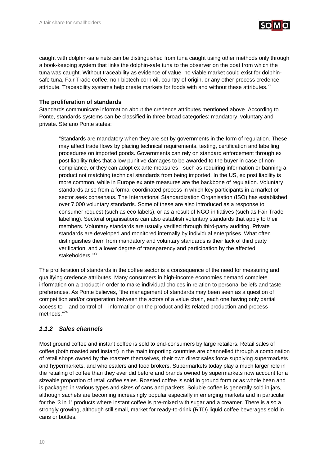

caught with dolphin-safe nets can be distinguished from tuna caught using other methods only through a book-keeping system that links the dolphin-safe tuna to the observer on the boat from which the tuna was caught. Without traceability as evidence of value, no viable market could exist for dolphinsafe tuna, Fair Trade coffee, non-biotech corn oil, country-of-origin, or any other process credence attribute. Traceability systems help create markets for foods with and without these attributes.<sup>22</sup>

## **The proliferation of standards**

Standards communicate information about the credence attributes mentioned above. According to Ponte, standards systems can be classified in three broad categories: mandatory, voluntary and private. Stefano Ponte states:

"Standards are mandatory when they are set by governments in the form of regulation. These may affect trade flows by placing technical requirements, testing, certification and labelling procedures on imported goods. Governments can rely on standard enforcement through ex post liability rules that allow punitive damages to be awarded to the buyer in case of noncompliance, or they can adopt ex ante measures - such as requiring information or banning a product not matching technical standards from being imported. In the US, ex post liability is more common, while in Europe ex ante measures are the backbone of regulation. Voluntary standards arise from a formal coordinated process in which key participants in a market or sector seek consensus. The International Standardization Organisation (ISO) has established over 7,000 voluntary standards. Some of these are also introduced as a response to consumer request (such as eco-labels), or as a result of NGO-initiatives (such as Fair Trade labelling). Sectoral organisations can also establish voluntary standards that apply to their members. Voluntary standards are usually verified through third-party auditing. Private standards are developed and monitored internally by individual enterprises. What often distinguishes them from mandatory and voluntary standards is their lack of third party verification, and a lower degree of transparency and participation by the affected stakeholders."<sup>23</sup>

The proliferation of standards in the coffee sector is a consequence of the need for measuring and qualifying credence attributes. Many consumers in high-income economies demand complete information on a product in order to make individual choices in relation to personal beliefs and taste preferences. As Ponte believes, "the management of standards may been seen as a question of competition and/or cooperation between the actors of a value chain, each one having only partial access to – and control of – information on the product and its related production and process methods."<sup>24</sup>

## *1.1.2 Sales channels*

Most ground coffee and instant coffee is sold to end-consumers by large retailers. Retail sales of coffee (both roasted and instant) in the main importing countries are channelled through a combination of retail shops owned by the roasters themselves, their own direct sales force supplying supermarkets and hypermarkets, and wholesalers and food brokers. Supermarkets today play a much larger role in the retailing of coffee than they ever did before and brands owned by supermarkets now account for a sizeable proportion of retail coffee sales. Roasted coffee is sold in ground form or as whole bean and is packaged in various types and sizes of cans and packets. Soluble coffee is generally sold in jars, although sachets are becoming increasingly popular especially in emerging markets and in particular for the '3 in 1' products where instant coffee is pre-mixed with sugar and a creamer. There is also a strongly growing, although still small, market for ready-to-drink (RTD) liquid coffee beverages sold in cans or bottles.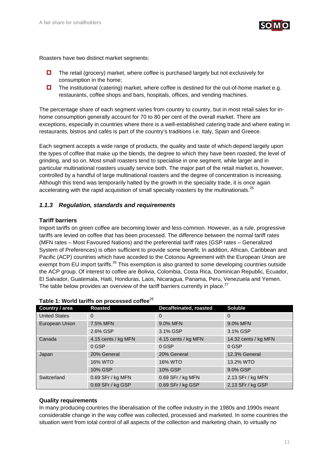

Roasters have two distinct market segments:

- $\Box$  The retail (grocery) market, where coffee is purchased largely but not exclusively for consumption in the home;
- $\Box$  The institutional (catering) market, where coffee is destined for the out-of-home market e.g. restaurants, coffee shops and bars, hospitals, offices, and vending machines.

The percentage share of each segment varies from country to country, but in most retail sales for inhome consumption generally account for 70 to 80 per cent of the overall market. There are exceptions, especially in countries where there is a well-established catering trade and where eating in restaurants, bistros and cafés is part of the country's traditions i.e. Italy, Spain and Greece.

Each segment accepts a wide range of products, the quality and taste of which depend largely upon the types of coffee that make up the blends, the degree to which they have been roasted, the level of grinding, and so on. Most small roasters tend to specialise in one segment, while larger and in particular multinational roasters usually service both. The major part of the retail market is, however, controlled by a handful of large multinational roasters and the degree of concentration is increasing. Although this trend was temporarily halted by the growth in the speciality trade, it is once again accelerating with the rapid acquisition of small specialty roasters by the multinationals.<sup>25</sup>

## *1.1.3 Regulation, standards and requirements*

## **Tariff barriers**

Import tariffs on green coffee are becoming lower and less common. However, as a rule, progressive tariffs are levied on coffee that has been processed. The difference between the normal tariff rates (MFN rates – Most Favoured Nations) and the preferential tariff rates (GSP rates – Generalized System of Preferences) is often sufficient to provide some benefit. In addition, African, Caribbean and Pacific (ACP) countries which have acceded to the Cotonou Agreement with the European Union are exempt from EU import tariffs.<sup>26</sup> This exemption is also granted to some developing countries outside the ACP group. Of interest to coffee are Bolivia, Colombia, Costa Rica, Dominican Republic, Ecuador, El Salvador, Guatemala, Haiti, Honduras, Laos, Nicaragua, Panama, Peru, Venezuela and Yemen. The table below provides an overview of the tariff barriers currently in place.<sup>27</sup>

| Country / area       | <b>Roasted</b>      | Decaffeinated, roasted | <b>Soluble</b>       |
|----------------------|---------------------|------------------------|----------------------|
| <b>United States</b> | $\Omega$            | $\Omega$               | 0                    |
| European Union       | 7.5% MFN            | 9.0% MFN               | 9.0% MFN             |
|                      | 2.6% GSP            | 3.1% GSP               | 3.1% GSP             |
| Canada               | 4.15 cents / kg MFN | 4.15 cents / kg MFN    | 14.32 cents / kg MFN |
|                      | 0 GSP               | $0$ GSP                | 0 GSP                |
| Japan                | 20% General         | 20% General            | 12.3% General        |
|                      | <b>16% WTO</b>      | <b>16% WTO</b>         | 13.2% WTO            |
|                      | 10% GSP             | <b>10% GSP</b>         | 9.0% GSP             |
| Switzerland          | 0.69 SFr / kg MFN   | 0.69 SFr / kg MFN      | 2.13 SFr / kg MFN    |
|                      | 0.69 SFr / kg GSP   | 0.69 SFr / kg GSP      | 2.13 SFr / kg GSP    |

## Table 1: World tariffs on processed coffee<sup>28</sup>

### **Quality requirements**

In many producing countries the liberalisation of the coffee industry in the 1980s and 1990s meant considerable change in the way coffee was collected, processed and marketed. In some countries the situation went from total control of all aspects of the collection and marketing chain, to virtually no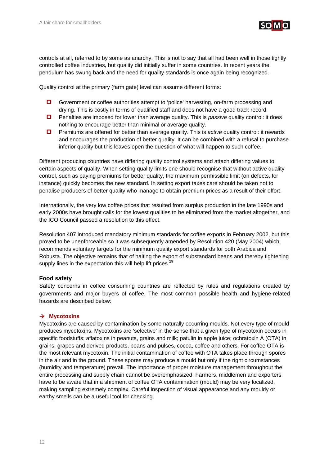

controls at all, referred to by some as anarchy. This is not to say that all had been well in those tightly controlled coffee industries, but quality did initially suffer in some countries. In recent years the pendulum has swung back and the need for quality standards is once again being recognized.

Quality control at the primary (farm gate) level can assume different forms:

- Government or coffee authorities attempt to 'police' harvesting, on-farm processing and drying. This is costly in terms of qualified staff and does not have a good track record.
- Penalties are imposed for lower than average quality. This is *passive* quality control: it does nothing to encourage better than minimal or average quality.
- **D** Premiums are offered for better than average quality. This is *active* quality control: it rewards and encourages the production of better quality. It can be combined with a refusal to purchase inferior quality but this leaves open the question of what will happen to such coffee.

Different producing countries have differing quality control systems and attach differing values to certain aspects of quality. When setting quality limits one should recognise that without active quality control, such as paying premiums for better quality, the maximum permissible limit (on defects, for instance) quickly becomes the new standard. In setting export taxes care should be taken not to penalise producers of better quality who manage to obtain premium prices as a result of their effort.

Internationally, the very low coffee prices that resulted from surplus production in the late 1990s and early 2000s have brought calls for the lowest qualities to be eliminated from the market altogether, and the ICO Council passed a resolution to this effect.

Resolution 407 introduced mandatory minimum standards for coffee exports in February 2002, but this proved to be unenforceable so it was subsequently amended by Resolution 420 (May 2004) which recommends voluntary targets for the minimum quality export standards for both Arabica and Robusta. The objective remains that of halting the export of substandard beans and thereby tightening supply lines in the expectation this will help lift prices.<sup>29</sup>

### **Food safety**

Safety concerns in coffee consuming countries are reflected by rules and regulations created by governments and major buyers of coffee. The most common possible health and hygiene-related hazards are described below:

## → Mycotoxins

Mycotoxins are caused by contamination by some naturally occurring moulds. Not every type of mould produces mycotoxins. Mycotoxins are 'selective' in the sense that a given type of mycotoxin occurs in specific foodstuffs: aflatoxins in peanuts, grains and milk; patulin in apple juice; ochratoxin A (OTA) in grains, grapes and derived products, beans and pulses, cocoa, coffee and others. For coffee OTA is the most relevant mycotoxin. The initial contamination of coffee with OTA takes place through spores in the air and in the ground. These spores may produce a mould but only if the right circumstances (humidity and temperature) prevail. The importance of proper moisture management throughout the entire processing and supply chain cannot be overemphasized. Farmers, middlemen and exporters have to be aware that in a shipment of coffee OTA contamination (mould) may be very localized, making sampling extremely complex. Careful inspection of visual appearance and any mouldy or earthy smells can be a useful tool for checking.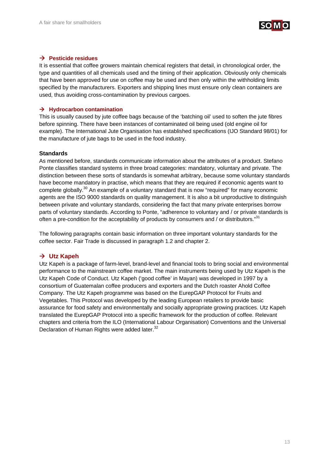

## $→$  **Pesticide residues**

It is essential that coffee growers maintain chemical registers that detail, in chronological order, the type and quantities of all chemicals used and the timing of their application. Obviously only chemicals that have been approved for use on coffee may be used and then only within the withholding limits specified by the manufacturers. Exporters and shipping lines must ensure only clean containers are used, thus avoiding cross-contamination by previous cargoes.

## $→$  **Hydrocarbon contamination**

This is usually caused by jute coffee bags because of the 'batching oil' used to soften the jute fibres before spinning. There have been instances of contaminated oil being used (old engine oil for example). The International Jute Organisation has established specifications (IJO Standard 98/01) for the manufacture of jute bags to be used in the food industry.

### **Standards**

As mentioned before, standards communicate information about the attributes of a product. Stefano Ponte classifies standard systems in three broad categories: mandatory, voluntary and private. The distinction between these sorts of standards is somewhat arbitrary, because some voluntary standards have become mandatory in practise, which means that they are required if economic agents want to complete globally.<sup>30</sup> An example of a voluntary standard that is now "required" for many economic agents are the ISO 9000 standards on quality management. It is also a bit unproductive to distinguish between private and voluntary standards, considering the fact that many private enterprises borrow parts of voluntary standards. According to Ponte, "adherence to voluntary and / or private standards is often a pre-condition for the acceptability of products by consumers and / or distributors."<sup>31</sup>

The following paragraphs contain basic information on three important voluntary standards for the coffee sector. Fair Trade is discussed in paragraph 1.2 and chapter 2.

## → Utz Kapeh

Utz Kapeh is a package of farm-level, brand-level and financial tools to bring social and environmental performance to the mainstream coffee market. The main instruments being used by Utz Kapeh is the Utz Kapeh Code of Conduct. Utz Kapeh ('good coffee' in Mayan) was developed in 1997 by a consortium of Guatemalan coffee producers and exporters and the Dutch roaster Ahold Coffee Company. The Utz Kapeh programme was based on the EurepGAP Protocol for Fruits and Vegetables. This Protocol was developed by the leading European retailers to provide basic assurance for food safety and environmentally and socially appropriate growing practices. Utz Kapeh translated the EurepGAP Protocol into a specific framework for the production of coffee. Relevant chapters and criteria from the ILO (International Labour Organisation) Conventions and the Universal Declaration of Human Rights were added later.<sup>32</sup>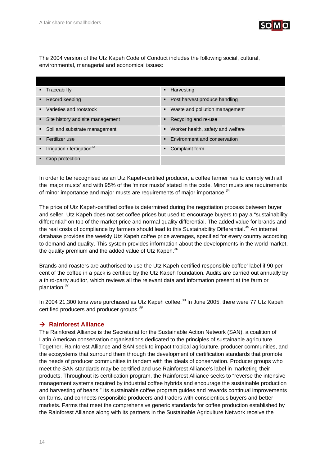

The 2004 version of the Utz Kapeh Code of Conduct includes the following social, cultural, environmental, managerial and economical issues:

| ٠              | Traceability                           | $\blacksquare$ | Harvesting                        |
|----------------|----------------------------------------|----------------|-----------------------------------|
| ٠              | Record keeping                         |                | • Post harvest produce handling   |
| $\blacksquare$ | Varieties and rootstock                | ٠              | Waste and pollution management    |
| ٠              | Site history and site management       | ٠              | Recycling and re-use              |
|                | • Soil and substrate management        | ٠              | Worker health, safety and welfare |
|                | Fertilizer use                         | $\blacksquare$ | Environment and conservation      |
| ٠              | Irrigation / fertigation <sup>33</sup> | ٠              | Complaint form                    |
|                | Crop protection                        |                |                                   |

In order to be recognised as an Utz Kapeh-certified producer, a coffee farmer has to comply with all the 'major musts' and with 95% of the 'minor musts' stated in the code. Minor musts are requirements of minor importance and major musts are requirements of major importance.<sup>34</sup>

The price of Utz Kapeh-certified coffee is determined during the negotiation process between buyer and seller. Utz Kapeh does not set coffee prices but used to encourage buyers to pay a "sustainability differential" on top of the market price and normal quality differential. The added value for brands and the real costs of compliance by farmers should lead to this Sustainability Differential.<sup>35</sup> An internet database provides the weekly Utz Kapeh coffee price averages, specified for every country according to demand and quality. This system provides information about the developments in the world market, the quality premium and the added value of Utz Kapeh.<sup>36</sup>

Brands and roasters are authorised to use the Utz Kapeh-certified responsible coffee' label if 90 per cent of the coffee in a pack is certified by the Utz Kapeh foundation. Audits are carried out annually by a third-party auditor, which reviews all the relevant data and information present at the farm or plantation.<sup>37</sup>

In 2004 21,300 tons were purchased as Utz Kapeh coffee.<sup>38</sup> In June 2005, there were 77 Utz Kapeh certified producers and producer groups.<sup>39</sup>

## $→$  **Rainforest Alliance**

The Rainforest Alliance is the Secretariat for the Sustainable Action Network (SAN), a coalition of Latin American conservation organisations dedicated to the principles of sustainable agriculture. Together, Rainforest Alliance and SAN seek to impact tropical agriculture, producer communities, and the ecosystems that surround them through the development of certification standards that promote the needs of producer communities in tandem with the ideals of conservation. Producer groups who meet the SAN standards may be certified and use Rainforest Alliance's label in marketing their products. Throughout its certification program, the Rainforest Alliance seeks to "reverse the intensive management systems required by industrial coffee hybrids and encourage the sustainable production and harvesting of beans." Its sustainable coffee program guides and rewards continual improvements on farms, and connects responsible producers and traders with conscientious buyers and better markets. Farms that meet the comprehensive generic standards for coffee production established by the Rainforest Alliance along with its partners in the Sustainable Agriculture Network receive the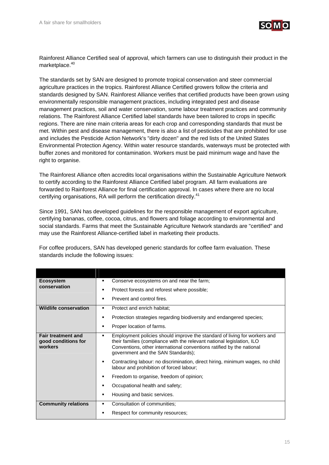

Rainforest Alliance Certified seal of approval, which farmers can use to distinguish their product in the marketplace.<sup>40</sup>

The standards set by SAN are designed to promote tropical conservation and steer commercial agriculture practices in the tropics. Rainforest Alliance Certified growers follow the criteria and standards designed by SAN. Rainforest Alliance verifies that certified products have been grown using environmentally responsible management practices, including integrated pest and disease management practices, soil and water conservation, some labour treatment practices and community relations. The Rainforest Alliance Certified label standards have been tailored to crops in specific regions. There are nine main criteria areas for each crop and corresponding standards that must be met. Within pest and disease management, there is also a list of pesticides that are prohibited for use and includes the Pesticide Action Network's "dirty dozen" and the red lists of the United States Environmental Protection Agency. Within water resource standards, waterways must be protected with buffer zones and monitored for contamination. Workers must be paid minimum wage and have the right to organise.

The Rainforest Alliance often accredits local organisations within the Sustainable Agriculture Network to certify according to the Rainforest Alliance Certified label program. All farm evaluations are forwarded to Rainforest Alliance for final certification approval. In cases where there are no local certifying organisations, RA will perform the certification directly.<sup>41</sup>

Since 1991, SAN has developed guidelines for the responsible management of export agriculture, certifying bananas, coffee, cocoa, citrus, and flowers and foliage according to environmental and social standards. Farms that meet the Sustainable Agriculture Network standards are "certified" and may use the Rainforest Alliance-certified label in marketing their products.

For coffee producers, SAN has developed generic standards for coffee farm evaluation. These standards include the following issues:

| <b>Ecosystem</b>                                            | Conserve ecosystems on and near the farm;<br>٠                                                                                                                                                                                                                     |  |  |
|-------------------------------------------------------------|--------------------------------------------------------------------------------------------------------------------------------------------------------------------------------------------------------------------------------------------------------------------|--|--|
| conservation                                                | Protect forests and reforest where possible;<br>٠                                                                                                                                                                                                                  |  |  |
|                                                             | Prevent and control fires.                                                                                                                                                                                                                                         |  |  |
| <b>Wildlife conservation</b>                                | Protect and enrich habitat:<br>٠                                                                                                                                                                                                                                   |  |  |
|                                                             | Protection strategies regarding biodiversity and endangered species;<br>٠                                                                                                                                                                                          |  |  |
|                                                             | Proper location of farms.<br>٠                                                                                                                                                                                                                                     |  |  |
| <b>Fair treatment and</b><br>good conditions for<br>workers | Employment policies should improve the standard of living for workers and<br>their families (compliance with the relevant national legislation, ILO<br>Conventions, other international conventions ratified by the national<br>government and the SAN Standards); |  |  |
|                                                             | Contracting labour: no discrimination, direct hiring, minimum wages, no child<br>٠<br>labour and prohibition of forced labour;                                                                                                                                     |  |  |
|                                                             | Freedom to organise, freedom of opinion;<br>٠                                                                                                                                                                                                                      |  |  |
|                                                             | Occupational health and safety;                                                                                                                                                                                                                                    |  |  |
|                                                             | Housing and basic services.                                                                                                                                                                                                                                        |  |  |
| <b>Community relations</b>                                  | Consultation of communities;<br>٠                                                                                                                                                                                                                                  |  |  |
|                                                             | Respect for community resources;                                                                                                                                                                                                                                   |  |  |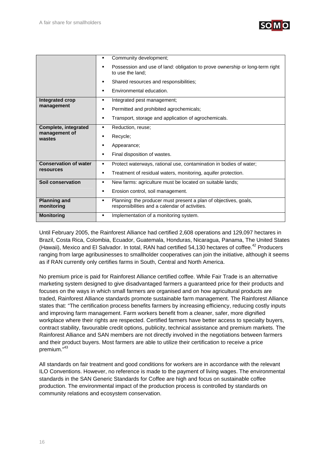

|                                   | Community development;<br>٠                                                                                             |
|-----------------------------------|-------------------------------------------------------------------------------------------------------------------------|
|                                   | Possession and use of land: obligation to prove ownership or long-term right<br>to use the land:                        |
|                                   | Shared resources and responsibilities;<br>٠                                                                             |
|                                   | Environmental education.<br>٠                                                                                           |
| Integrated crop                   | Integrated pest management;<br>٠                                                                                        |
| management                        | Permitted and prohibited agrochemicals;<br>٠                                                                            |
|                                   | Transport, storage and application of agrochemicals.<br>٠                                                               |
| Complete, integrated              | Reduction, reuse;<br>٠                                                                                                  |
| management of<br>wastes           | Recycle;<br>٠                                                                                                           |
|                                   | Appearance;<br>٠                                                                                                        |
|                                   | Final disposition of wastes.<br>٠                                                                                       |
| <b>Conservation of water</b>      | Protect waterways, rational use, contamination in bodies of water;<br>٠                                                 |
| <b>resources</b>                  | Treatment of residual waters, monitoring, aquifer protection.<br>٠                                                      |
| Soil conservation                 | New farms: agriculture must be located on suitable lands;<br>٠                                                          |
|                                   | Erosion control, soil management.<br>٠                                                                                  |
| <b>Planning and</b><br>monitoring | Planning: the producer must present a plan of objectives, goals,<br>٠<br>responsibilities and a calendar of activities. |
| <b>Monitoring</b>                 | Implementation of a monitoring system.<br>٠                                                                             |

Until February 2005, the Rainforest Alliance had certified 2,608 operations and 129,097 hectares in Brazil, Costa Rica, Colombia, Ecuador, Guatemala, Honduras, Nicaragua, Panama, The United States (Hawaii), Mexico and El Salvador. In total, RAN had certified 54,130 hectares of coffee.<sup>42</sup> Producers ranging from large agribusinesses to smallholder cooperatives can join the initiative, although it seems as if RAN currently only certifies farms in South, Central and North America.

No premium price is paid for Rainforest Alliance certified coffee. While Fair Trade is an alternative marketing system designed to give disadvantaged farmers a guaranteed price for their products and focuses on the ways in which small farmers are organised and on how agricultural products are traded, Rainforest Alliance standards promote sustainable farm management. The Rainforest Alliance states that: "The certification process benefits farmers by increasing efficiency, reducing costly inputs and improving farm management. Farm workers benefit from a cleaner, safer, more dignified workplace where their rights are respected. Certified farmers have better access to specialty buyers, contract stability, favourable credit options, publicity, technical assistance and premium markets. The Rainforest Alliance and SAN members are not directly involved in the negotiations between farmers and their product buyers. Most farmers are able to utilize their certification to receive a price premium."43

All standards on fair treatment and good conditions for workers are in accordance with the relevant ILO Conventions. However, no reference is made to the payment of living wages. The environmental standards in the SAN Generic Standards for Coffee are high and focus on sustainable coffee production. The environmental impact of the production process is controlled by standards on community relations and ecosystem conservation.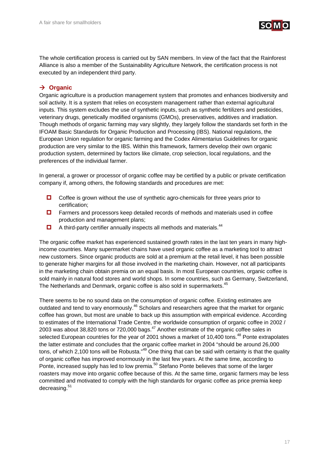

The whole certification process is carried out by SAN members. In view of the fact that the Rainforest Alliance is also a member of the Sustainability Agriculture Network, the certification process is not executed by an independent third party.

## **→ Organic**

Organic agriculture is a production management system that promotes and enhances biodiversity and soil activity. It is a system that relies on ecosystem management rather than external agricultural inputs. This system excludes the use of synthetic inputs, such as synthetic fertilizers and pesticides, veterinary drugs, genetically modified organisms (GMOs), preservatives, additives and irradiation. Though methods of organic farming may vary slightly, they largely follow the standards set forth in the IFOAM Basic Standards for Organic Production and Processing (IBS). National regulations, the European Union regulation for organic farming and the Codex Alimentarius Guidelines for organic production are very similar to the IBS. Within this framework, farmers develop their own organic production system, determined by factors like climate, crop selection, local regulations, and the preferences of the individual farmer.

In general, a grower or processor of organic coffee may be certified by a public or private certification company if, among others, the following standards and procedures are met:

- $\Box$  Coffee is grown without the use of synthetic agro-chemicals for three years prior to certification;
- □ Farmers and processors keep detailed records of methods and materials used in coffee production and management plans;
- $\Box$  A third-party certifier annually inspects all methods and materials.<sup>44</sup>

The organic coffee market has experienced sustained growth rates in the last ten years in many highincome countries. Many supermarket chains have used organic coffee as a marketing tool to attract new customers. Since organic products are sold at a premium at the retail level, it has been possible to generate higher margins for all those involved in the marketing chain. However, not all participants in the marketing chain obtain premia on an equal basis. In most European countries, organic coffee is sold mainly in natural food stores and world shops. In some countries, such as Germany, Switzerland, The Netherlands and Denmark, organic coffee is also sold in supermarkets.<sup>45</sup>

There seems to be no sound data on the consumption of organic coffee. Existing estimates are outdated and tend to vary enormously.<sup>46</sup> Scholars and researchers agree that the market for organic coffee has grown, but most are unable to back up this assumption with empirical evidence. According to estimates of the International Trade Centre, the worldwide consumption of organic coffee in 2002 / 2003 was about 38,820 tons or 720,000 bags.<sup>47</sup> Another estimate of the organic coffee sales in selected European countries for the year of 2001 shows a market of 10,400 tons.<sup>48</sup> Ponte extrapolates the latter estimate and concludes that the organic coffee market in 2004 "should be around 26,000 tons, of which 2,100 tons will be Robusta."<sup>49</sup> One thing that can be said with certainty is that the quality of organic coffee has improved enormously in the last few years. At the same time, according to Ponte, increased supply has led to low premia.<sup>50</sup> Stefano Ponte believes that some of the larger roasters may move into organic coffee because of this. At the same time, organic farmers may be less committed and motivated to comply with the high standards for organic coffee as price premia keep decreasing.<sup>51</sup>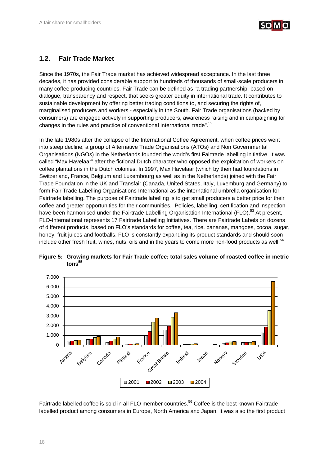

## **1.2. Fair Trade Market**

Since the 1970s, the Fair Trade market has achieved widespread acceptance. In the last three decades, it has provided considerable support to hundreds of thousands of small-scale producers in many coffee-producing countries. Fair Trade can be defined as "a trading partnership, based on dialogue, transparency and respect, that seeks greater equity in international trade. It contributes to sustainable development by offering better trading conditions to, and securing the rights of, marginalised producers and workers - especially in the South. Fair Trade organisations (backed by consumers) are engaged actively in supporting producers, awareness raising and in campaigning for changes in the rules and practice of conventional international trade".<sup>52</sup>

In the late 1980s after the collapse of the International Coffee Agreement, when coffee prices went into steep decline, a group of Alternative Trade Organisations (ATOs) and Non Governmental Organisations (NGOs) in the Netherlands founded the world's first Fairtrade labelling initiative. It was called "Max Havelaar" after the fictional Dutch character who opposed the exploitation of workers on coffee plantations in the Dutch colonies. In 1997, Max Havelaar (which by then had foundations in Switzerland, France, Belgium and Luxembourg as well as in the Netherlands) joined with the Fair Trade Foundation in the UK and Transfair (Canada, United States, Italy, Luxemburg and Germany) to form Fair Trade Labelling Organisations International as the international umbrella organisation for Fairtrade labelling. The purpose of Fairtrade labelling is to get small producers a better price for their coffee and greater opportunities for their communities. Policies, labelling, certification and inspection have been harmonised under the Fairtrade Labelling Organisation International (FLO).<sup>53</sup> At present, FLO-International represents 17 Fairtrade Labelling Initiatives. There are Fairtrade Labels on dozens of different products, based on FLO's standards for coffee, tea, rice, bananas, mangoes, cocoa, sugar, honey, fruit juices and footballs. FLO is constantly expanding its product standards and should soon include other fresh fruit, wines, nuts, oils and in the years to come more non-food products as well.<sup>54</sup>



**Figure 5: Growing markets for Fair Trade coffee: total sales volume of roasted coffee in metric**   $t$ ons<sup>55</sup>

Fairtrade labelled coffee is sold in all FLO member countries.<sup>56</sup> Coffee is the best known Fairtrade labelled product among consumers in Europe, North America and Japan. It was also the first product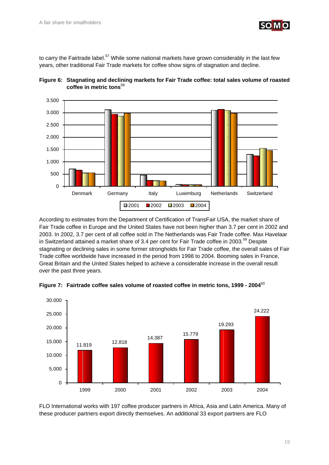

to carry the Fairtrade label.<sup>57</sup> While some national markets have grown considerably in the last few years, other traditional Fair Trade markets for coffee show signs of stagnation and decline.





According to estimates from the Department of Certification of TransFair USA, the market share of Fair Trade coffee in Europe and the United States have not been higher than 3.7 per cent in 2002 and 2003. In 2002, 3.7 per cent of all coffee sold in The Netherlands was Fair Trade coffee. Max Havelaar in Switzerland attained a market share of 3.4 per cent for Fair Trade coffee in 2003.<sup>59</sup> Despite stagnating or declining sales in some former strongholds for Fair Trade coffee, the overall sales of Fair Trade coffee worldwide have increased in the period from 1998 to 2004. Booming sales in France, Great Britain and the United States helped to achieve a considerable increase in the overall result over the past three years.



**Figure 7: Fairtrade coffee sales volume of roasted coffee in metric tons, 1999 - 2004**<sup>60</sup>

FLO International works with 197 coffee producer partners in Africa, Asia and Latin America. Many of these producer partners export directly themselves. An additional 33 export partners are FLO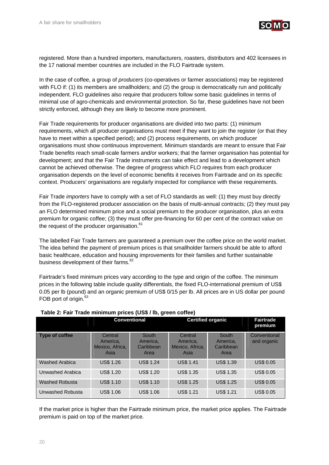

registered. More than a hundred importers, manufacturers, roasters, distributors and 402 licensees in the 17 national member countries are included in the FLO Fairtrade system.

In the case of coffee, a group of *producers* (co-operatives or farmer associations) may be registered with FLO if: (1) its members are smallholders; and (2) the group is democratically run and politically independent. FLO guidelines also require that producers follow some basic guidelines in terms of minimal use of agro-chemicals and environmental protection. So far, these guidelines have not been strictly enforced, although they are likely to become more prominent.

Fair Trade requirements for producer organisations are divided into two parts: (1) minimum requirements, which all producer organisations must meet if they want to join the register (or that they have to meet within a specified period); and (2) process requirements, on which producer organisations must show continuous improvement. Minimum standards are meant to ensure that Fair Trade benefits reach small-scale farmers and/or workers; that the farmer organisation has potential for development; and that the Fair Trade instruments can take effect and lead to a development which cannot be achieved otherwise. The degree of progress which FLO requires from each producer organisation depends on the level of economic benefits it receives from Fairtrade and on its specific context. Producers' organisations are regularly inspected for compliance with these requirements.

Fair Trade *importers* have to comply with a set of FLO standards as well: (1) they must buy directly from the FLO-registered producer association on the basis of multi-annual contracts; (2) they must pay an FLO determined minimum price and a social premium to the producer organisation, plus an extra premium for organic coffee; (3) they must offer pre-financing for 60 per cent of the contract value on the request of the producer organisation.<sup>61</sup>

The labelled Fair Trade farmers are guaranteed a premium over the coffee price on the world market. The idea behind the payment of premium prices is that smallholder farmers should be able to afford basic healthcare, education and housing improvements for their families and further sustainable business development of their farms.<sup>62</sup>

Fairtrade's fixed minimum prices vary according to the type and origin of the coffee. The minimum prices in the following table include quality differentials, the fixed FLO-international premium of US\$ 0.05 per lb (pound) and an organic premium of US\$ 0/15 per lb. All prices are in US dollar per pound FOB port of origin.<sup>63</sup>

| $1800$ $\mu$ , $1800$ $\mu$ $1000$ $\mu$ $1000$ $\mu$ $1000$ $\mu$ $100$ $\mu$ $1000$ $\mu$ |                                                |                                          |                                                |                                               |                             |  |
|---------------------------------------------------------------------------------------------|------------------------------------------------|------------------------------------------|------------------------------------------------|-----------------------------------------------|-----------------------------|--|
|                                                                                             |                                                | <b>Certified organic</b><br>Conventional |                                                | <b>Fairtrade</b><br>premium                   |                             |  |
| Type of coffee                                                                              | Central<br>America,<br>Mexico, Africa,<br>Asia | South<br>America.<br>Caribbean<br>Area   | Central<br>America.<br>Mexico, Africa,<br>Asia | <b>South</b><br>America.<br>Caribbean<br>Area | Conventional<br>and organic |  |
| <b>Washed Arabica</b>                                                                       | <b>US\$ 1.26</b>                               | <b>US\$ 1.24</b>                         | <b>US\$ 1.41</b>                               | <b>US\$ 1.39</b>                              | <b>US\$ 0.05</b>            |  |
| Unwashed Arabica                                                                            | <b>US\$ 1.20</b>                               | <b>US\$ 1.20</b>                         | <b>US\$ 1.35</b>                               | <b>US\$ 1.35</b>                              | <b>US\$ 0.05</b>            |  |
| <b>Washed Robusta</b>                                                                       | <b>US\$ 1.10</b>                               | <b>US\$ 1.10</b>                         | <b>US\$ 1.25</b>                               | <b>US\$ 1.25</b>                              | <b>US\$ 0.05</b>            |  |
| Unwashed Robusta                                                                            | <b>US\$ 1.06</b>                               | <b>US\$ 1.06</b>                         | <b>US\$ 1.21</b>                               | <b>US\$ 1.21</b>                              | <b>US\$ 0.05</b>            |  |

### **Table 2: Fair Trade minimum prices (US\$ / lb, green coffee)**

If the market price is higher than the Fairtrade minimum price, the market price applies. The Fairtrade premium is paid on top of the market price.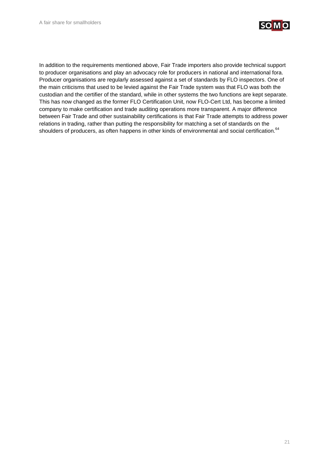

In addition to the requirements mentioned above, Fair Trade importers also provide technical support to producer organisations and play an advocacy role for producers in national and international fora. Producer organisations are regularly assessed against a set of standards by FLO inspectors. One of the main criticisms that used to be levied against the Fair Trade system was that FLO was both the custodian and the certifier of the standard, while in other systems the two functions are kept separate. This has now changed as the former FLO Certification Unit, now FLO-Cert Ltd, has become a limited company to make certification and trade auditing operations more transparent. A major difference between Fair Trade and other sustainability certifications is that Fair Trade attempts to address power relations in trading, rather than putting the responsibility for matching a set of standards on the shoulders of producers, as often happens in other kinds of environmental and social certification.<sup>64</sup>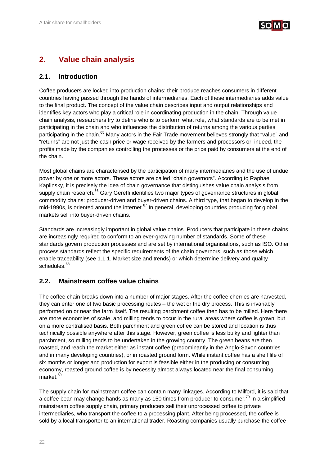

## **2. Value chain analysis**

## **2.1. Introduction**

Coffee producers are locked into production chains: their produce reaches consumers in different countries having passed through the hands of intermediaries. Each of these intermediaries adds value to the final product. The concept of the value chain describes input and output relationships and identifies key actors who play a critical role in coordinating production in the chain. Through value chain analysis, researchers try to define who is to perform what role, what standards are to be met in participating in the chain and who influences the distribution of returns among the various parties participating in the chain.<sup>65</sup> Many actors in the Fair Trade movement believes strongly that "value" and "returns" are not just the cash price or wage received by the farmers and processors or, indeed, the profits made by the companies controlling the processes or the price paid by consumers at the end of the chain.

Most global chains are characterised by the participation of many intermediaries and the use of undue power by one or more actors. These actors are called "chain governors". According to Raphael Kaplinsky, it is precisely the idea of chain governance that distinguishes value chain analysis from supply chain research.<sup>66</sup> Gary Gereffi identifies two major types of governance structures in global commodity chains: producer-driven and buyer-driven chains. A third type, that began to develop in the mid-1990s, is oriented around the internet.<sup>67</sup> In general, developing countries producing for global markets sell into buyer-driven chains.

Standards are increasingly important in global value chains. Producers that participate in these chains are increasingly required to conform to an ever-growing number of standards. Some of these standards govern production processes and are set by international organisations, such as ISO. Other process standards reflect the specific requirements of the chain governors, such as those which enable traceability (see 1.1.1. Market size and trends) or which determine delivery and quality schedules.<sup>68</sup>

## **2.2. Mainstream coffee value chains**

The coffee chain breaks down into a number of major stages. After the coffee cherries are harvested, they can enter one of two basic processing routes – the wet or the dry process. This is invariably performed on or near the farm itself. The resulting parchment coffee then has to be milled. Here there are more economies of scale, and milling tends to occur in the rural areas where coffee is grown, but on a more centralised basis. Both parchment and green coffee can be stored and location is thus technically possible anywhere after this stage. However, green coffee is less bulky and lighter than parchment, so milling tends to be undertaken in the growing country. The green beans are then roasted, and reach the market either as instant coffee (predominantly in the Anglo-Saxon countries and in many developing countries), or in roasted ground form. While instant coffee has a shelf life of six months or longer and production for export is feasible either in the producing or consuming economy, roasted ground coffee is by necessity almost always located near the final consuming market.<sup>69</sup>

The supply chain for mainstream coffee can contain many linkages. According to Milford, it is said that a coffee bean may change hands as many as 150 times from producer to consumer.<sup>70</sup> In a simplified mainstream coffee supply chain, primary producers sell their unprocessed coffee to private intermediaries, who transport the coffee to a processing plant. After being processed, the coffee is sold by a local transporter to an international trader. Roasting companies usually purchase the coffee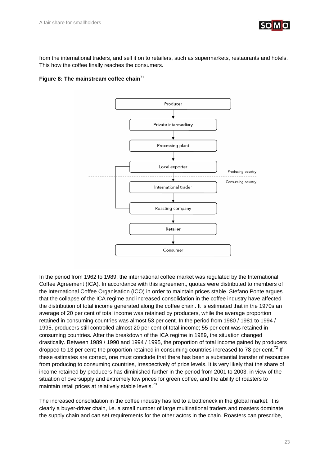

from the international traders, and sell it on to retailers, such as supermarkets, restaurants and hotels. This how the coffee finally reaches the consumers.

#### Figure 8: The mainstream coffee chain<sup>71</sup>



In the period from 1962 to 1989, the international coffee market was regulated by the International Coffee Agreement (ICA). In accordance with this agreement, quotas were distributed to members of the International Coffee Organisation (ICO) in order to maintain prices stable. Stefano Ponte argues that the collapse of the ICA regime and increased consolidation in the coffee industry have affected the distribution of total income generated along the coffee chain. It is estimated that in the 1970s an average of 20 per cent of total income was retained by producers, while the average proportion retained in consuming countries was almost 53 per cent. In the period from 1980 / 1981 to 1994 / 1995, producers still controlled almost 20 per cent of total income; 55 per cent was retained in consuming countries. After the breakdown of the ICA regime in 1989, the situation changed drastically. Between 1989 / 1990 and 1994 / 1995, the proportion of total income gained by producers dropped to 13 per cent; the proportion retained in consuming countries increased to 78 per cent.<sup>72</sup> If these estimates are correct, one must conclude that there has been a substantial transfer of resources from producing to consuming countries, irrespectively of price levels. It is very likely that the share of income retained by producers has diminished further in the period from 2001 to 2003, in view of the situation of oversupply and extremely low prices for green coffee, and the ability of roasters to maintain retail prices at relatively stable levels.<sup>73</sup>

The increased consolidation in the coffee industry has led to a bottleneck in the global market. It is clearly a buyer-driver chain, i.e. a small number of large multinational traders and roasters dominate the supply chain and can set requirements for the other actors in the chain. Roasters can prescribe,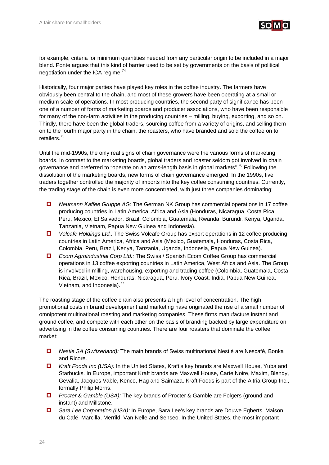

for example, criteria for minimum quantities needed from any particular origin to be included in a major blend. Ponte argues that this kind of barrier used to be set by governments on the basis of political negotiation under the ICA regime. $74$ 

Historically, four major parties have played key roles in the coffee industry. The farmers have obviously been central to the chain, and most of these growers have been operating at a small or medium scale of operations. In most producing countries, the second party of significance has been one of a number of forms of marketing boards and producer associations, who have been responsible for many of the non-farm activities in the producing countries – milling, buying, exporting, and so on. Thirdly, there have been the global traders, sourcing coffee from a variety of origins, and selling them on to the fourth major party in the chain, the roasters, who have branded and sold the coffee on to retailers.75

Until the mid-1990s, the only real signs of chain governance were the various forms of marketing boards. In contrast to the marketing boards, global traders and roaster seldom got involved in chain governance and preferred to "operate on an arms-length basis in global markets".<sup>76</sup> Following the dissolution of the marketing boards, new forms of chain governance emerged. In the 1990s, five traders together controlled the majority of imports into the key coffee consuming countries. Currently, the trading stage of the chain is even more concentrated, with just three companies dominating:

- *Neumann Kaffee Gruppe AG:* The German NK Group has commercial operations in 17 coffee producing countries in Latin America, Africa and Asia (Honduras, Nicaragua, Costa Rica, Peru, Mexico, El Salvador, Brazil, Colombia, Guatemala, Rwanda, Burundi, Kenya, Uganda, Tanzania, Vietnam, Papua New Guinea and Indonesia).
- *Volcafe Holdings Ltd.:* The Swiss Volcafe Group has export operations in 12 coffee producing countries in Latin America, Africa and Asia (Mexico, Guatemala, Honduras, Costa Rica, Colombia, Peru, Brazil, Kenya, Tanzania, Uganda, Indonesia, Papua New Guinea).
- *Ecom Agroindustrial Corp Ltd.:* The Swiss / Spanish Ecom Coffee Group has commercial operations in 13 coffee exporting countries in Latin America, West Africa and Asia. The Group is involved in milling, warehousing, exporting and trading coffee (Colombia, Guatemala, Costa Rica, Brazil, Mexico, Honduras, Nicaragua, Peru, Ivory Coast, India, Papua New Guinea, Vietnam, and Indonesia).<sup>77</sup>

The roasting stage of the coffee chain also presents a high level of concentration. The high promotional costs in brand development and marketing have originated the rise of a small number of omnipotent multinational roasting and marketing companies. These firms manufacture instant and ground coffee, and compete with each other on the basis of branding backed by large expenditure on advertising in the coffee consuming countries. There are four roasters that dominate the coffee market:

- *Nestle SA (Switzerland):* The main brands of Swiss multinational Nestlé are Nescafé, Bonka and Ricore.
- *Kraft Foods Inc (USA):* In the United States, Kraft's key brands are Maxwell House, Yuba and Starbucks. In Europe, important Kraft brands are Maxwell House, Carte Noire, Maxim, Blendy, Gevalia, Jacques Vable, Kenco, Hag and Saimaza. Kraft Foods is part of the Altria Group Inc., formally Philip Morris.
- *Procter & Gamble (USA):* The key brands of Procter & Gamble are Folgers (ground and instant) and Millstone.
- *Sara Lee Corporation (USA):* In Europe, Sara Lee's key brands are Douwe Egberts, Maison du Café, Marcilla, Merrild, Van Nelle and Senseo. In the United States, the most important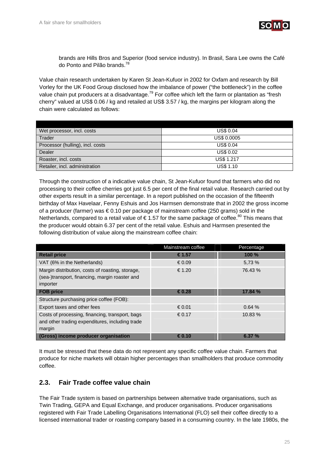

brands are Hills Bros and Superior (food service industry). In Brasil, Sara Lee owns the Café do Ponto and Pilão brands.78

Value chain research undertaken by Karen St Jean-Kufuor in 2002 for Oxfam and research by Bill Vorley for the UK Food Group disclosed how the imbalance of power ("the bottleneck") in the coffee value chain put producers at a disadvantage.<sup>79</sup> For coffee which left the farm or plantation as "fresh cherry" valued at US\$ 0.06 / kg and retailed at US\$ 3.57 / kg, the margins per kilogram along the chain were calculated as follows:

| Wet processor, incl. costs       | <b>US\$ 0.04</b>   |
|----------------------------------|--------------------|
| Trader                           | <b>US\$ 0.0005</b> |
| Processor (hulling), incl. costs | <b>US\$ 0.04</b>   |
| Dealer                           | <b>US\$ 0.02</b>   |
| Roaster, incl. costs             | <b>US\$ 1.217</b>  |
| Retailer, incl. administration   | <b>US\$ 1.10</b>   |

Through the construction of a indicative value chain, St Jean-Kufuor found that farmers who did no processing to their coffee cherries got just 6.5 per cent of the final retail value. Research carried out by other experts result in a similar percentage. In a report published on the occasion of the fifteenth birthday of Max Havelaar, Fenny Eshuis and Jos Harmsen demonstrate that in 2002 the gross income of a producer (farmer) was € 0.10 per package of mainstream coffee (250 grams) sold in the Netherlands, compared to a retail value of  $\epsilon$  1.57 for the same package of coffee.<sup>80</sup> This means that the producer would obtain 6.37 per cent of the retail value. Eshuis and Harmsen presented the following distribution of value along the mainstream coffee chain:

|                                                                                                                | Mainstream coffee | Percentage |
|----------------------------------------------------------------------------------------------------------------|-------------------|------------|
| <b>Retail price</b>                                                                                            | €1.57             | 100 %      |
| VAT (6% in the Netherlands)                                                                                    | € 0.09            | 5,73 %     |
| Margin distribution, costs of roasting, storage,<br>(sea-)transport, financing, margin roaster and<br>importer | € 1.20            | 76.43 %    |
| <b>FOB price</b>                                                                                               | €0.28             | 17.84 %    |
| Structure purchasing price coffee (FOB):                                                                       |                   |            |
| Export taxes and other fees                                                                                    | € 0.01            | 0.64%      |
| Costs of processing, financing, transport, bags<br>and other trading expenditures, including trade<br>margin   | € 0.17            | 10.83%     |
| <b>(Gross) income producer organisation</b>                                                                    | €0.10             | 6.37%      |

It must be stressed that these data do not represent any specific coffee value chain. Farmers that produce for niche markets will obtain higher percentages than smallholders that produce commodity coffee.

## **2.3. Fair Trade coffee value chain**

The Fair Trade system is based on partnerships between alternative trade organisations, such as Twin Trading, GEPA and Equal Exchange, and producer organisations. Producer organisations registered with Fair Trade Labelling Organisations International (FLO) sell their coffee directly to a licensed international trader or roasting company based in a consuming country. In the late 1980s, the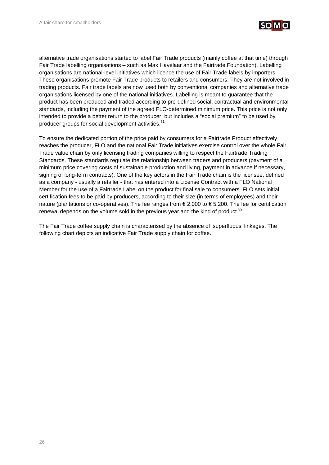

alternative trade organisations started to label Fair Trade products (mainly coffee at that time) through Fair Trade labelling organisations – such as Max Havelaar and the Fairtrade Foundation). Labelling organisations are national-level initiatives which licence the use of Fair Trade labels by importers. These organisations promote Fair Trade products to retailers and consumers. They are not involved in trading products. Fair trade labels are now used both by conventional companies and alternative trade organisations licensed by one of the national initiatives. Labelling is meant to guarantee that the product has been produced and traded according to pre-defined social, contractual and environmental standards, including the payment of the agreed FLO-determined minimum price. This price is not only intended to provide a better return to the producer, but includes a "social premium" to be used by producer groups for social development activities.<sup>81</sup>

To ensure the dedicated portion of the price paid by consumers for a Fairtrade Product effectively reaches the producer, FLO and the national Fair Trade initiatives exercise control over the whole Fair Trade value chain by only licensing trading companies willing to respect the Fairtrade Trading Standards. These standards regulate the relationship between traders and producers (payment of a minimum price covering costs of sustainable production and living, payment in advance if necessary, signing of long-term contracts). One of the key actors in the Fair Trade chain is the licensee, defined as a company - usually a retailer - that has entered into a License Contract with a FLO National Member for the use of a Fairtrade Label on the product for final sale to consumers. FLO sets initial certification fees to be paid by producers, according to their size (in terms of employees) and their nature (plantations or co-operatives). The fee ranges from € 2,000 to € 5,200. The fee for certification renewal depends on the volume sold in the previous year and the kind of product.<sup>82</sup>

The Fair Trade coffee supply chain is characterised by the absence of 'superfluous' linkages. The following chart depicts an indicative Fair Trade supply chain for coffee.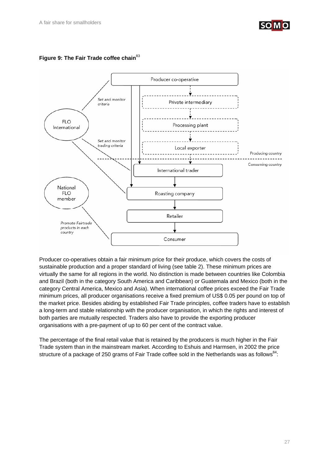



## Figure 9: The Fair Trade coffee chain<sup>83</sup>

Producer co-operatives obtain a fair minimum price for their produce, which covers the costs of sustainable production and a proper standard of living (see table 2). These minimum prices are virtually the same for all regions in the world. No distinction is made between countries like Colombia and Brazil (both in the category South America and Caribbean) or Guatemala and Mexico (both in the category Central America, Mexico and Asia). When international coffee prices exceed the Fair Trade minimum prices, all producer organisations receive a fixed premium of US\$ 0.05 per pound on top of the market price. Besides abiding by established Fair Trade principles, coffee traders have to establish a long-term and stable relationship with the producer organisation, in which the rights and interest of both parties are mutually respected. Traders also have to provide the exporting producer organisations with a pre-payment of up to 60 per cent of the contract value.

The percentage of the final retail value that is retained by the producers is much higher in the Fair Trade system than in the mainstream market. According to Eshuis and Harmsen, in 2002 the price structure of a package of 250 grams of Fair Trade coffee sold in the Netherlands was as follows $^{84}$ :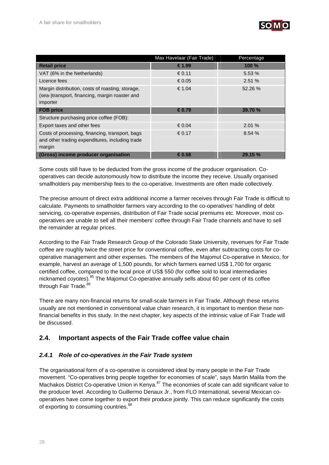

|                                                                                                                | Max Havelaar (Fair Trade) | Percentage |
|----------------------------------------------------------------------------------------------------------------|---------------------------|------------|
| <b>Retail price</b>                                                                                            | €1.99                     | 100 %      |
| VAT (6% in the Netherlands)                                                                                    | € 0.11                    | 5.53 %     |
| Licence fees                                                                                                   | € 0.05                    | 2.51%      |
| Margin distribution, costs of roasting, storage,<br>(sea-)transport, financing, margin roaster and<br>importer | €1.04                     | 52.26 %    |
| <b>FOB price</b>                                                                                               | €0.79                     | 39.70 %    |
| Structure purchasing price coffee (FOB):                                                                       |                           |            |
| Export taxes and other fees                                                                                    | € 0.04                    | 2.01%      |
| Costs of processing, financing, transport, bags<br>and other trading expenditures, including trade<br>margin   | € 0.17                    | 8.54 %     |
| (Gross) income producer organisation                                                                           | €0.58                     | 29.15 %    |

Some costs still have to be deducted from the gross income of the producer organisation. Cooperatives can decide autonomously how to distribute the income they receive. Usually organised smallholders pay membership fees to the co-operative. Investments are often made collectively.

The precise amount of direct extra additional income a farmer receives through Fair Trade is difficult to calculate. Payments to smallholder farmers vary according to the co-operatives' handling of debt servicing, co-operative expenses, distribution of Fair Trade social premiums etc. Moreover, most cooperatives are unable to sell all their members' coffee through Fair Trade channels and have to sell the remainder at regular prices.

According to the Fair Trade Research Group of the Colorado State University, revenues for Fair Trade coffee are roughly twice the street price for conventional coffee, even after subtracting costs for cooperative management and other expenses. The members of the Majomut Co-operative in Mexico, for example, harvest an average of 1,500 pounds, for which farmers earned US\$ 1,700 for organic certified coffee, compared to the local price of US\$ 550 (for coffee sold to local intermediaries nicknamed *coyotes*).85 The Majomut Co-operative annually sells about 60 per cent of its coffee through Fair Trade.<sup>86</sup>

There are many non-financial returns for small-scale farmers in Fair Trade. Although these returns usually are not mentioned in conventional value chain research, it is important to mention these nonfinancial benefits in this study. In the next chapter, key aspects of the intrinsic value of Fair Trade will be discussed.

## **2.4. Important aspects of the Fair Trade coffee value chain**

## *2.4.1 Role of co-operatives in the Fair Trade system*

The organisational form of a co-operative is considered ideal by many people in the Fair Trade movement. "Co-operatives bring people together for economies of scale", says Martin Malila from the Machakos District Co-operative Union in Kenya.<sup>87</sup> The economies of scale can add significant value to the producer level. According to Guillermo Denaux Jr., from FLO International, several Mexican cooperatives have come together to export their produce jointly. This can reduce significantly the costs of exporting to consuming countries.<sup>88</sup>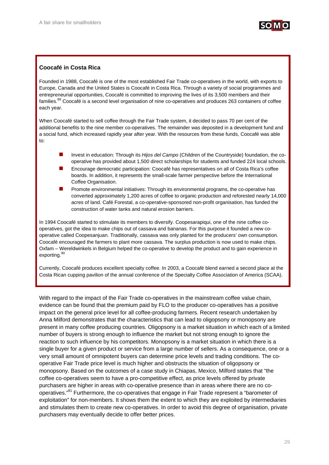

## **Coocafé in Costa Rica**

Founded in 1988, Coocafé is one of the most established Fair Trade co-operatives in the world, with exports to Europe, Canada and the United States is Coocafé in Costa Rica. Through a variety of social programmes and entrepreneurial opportunities, Coocafé is committed to improving the lives of its 3,500 members and their families.<sup>89</sup> Coocafé is a second level organisation of nine co-operatives and produces 263 containers of coffee each year.

When Coocafé started to sell coffee through the Fair Trade system, it decided to pass 70 per cent of the additional benefits to the nine member co-operatives. The remainder was deposited in a development fund and a social fund, which increased rapidly year after year. With the resources from these funds, Coocafé was able to:

- Invest in education: Through its *Hijos del Campo* (Children of the Countryside) foundation, the cooperative has provided about 1,500 direct scholarships for students and funded 224 local schools.
- Encourage democratic participation: Coocafé has representatives on all of Costa Rica's coffee boards. In addition, it represents the small-scale farmer perspective before the International Coffee Organisation.
- Promote environmental initiatives: Through its environmental programs, the co-operative has converted approximately 1,200 acres of coffee to organic production and reforested nearly 14,000 acres of land. Café Forestal, a co-operative-sponsored non-profit organisation, has funded the construction of water tanks and natural erosion barriers.

In 1994 Coocafé started to stimulate its members to diversify. Coopesarapiqui, one of the nine coffee cooperatives, got the idea to make chips out of cassava and bananas. For this purpose it founded a new cooperative called Coopesanjuan. Traditionally, cassava was only planted for the producers' own consumption. Coocafé encouraged the farmers to plant more cassava. The surplus production is now used to make chips. Oxfam – Wereldwinkels in Belgium helped the co-operative to develop the product and to gain experience in exporting.<sup>90</sup>

Currently, Coocafé produces excellent specialty coffee. In 2003, a Coocafé blend earned a second place at the Costa Rican cupping pavilion of the annual conference of the Specialty Coffee Association of America (SCAA).

With regard to the impact of the Fair Trade co-operatives in the mainstream coffee value chain, evidence can be found that the premium paid by FLO to the producer co-operatives has a positive impact on the general price level for all coffee-producing farmers. Recent research undertaken by Anna Milford demonstrates that the characteristics that can lead to oligopsony or monopsony are present in many coffee producing countries. Oligopsony is a market situation in which each of a limited number of buyers is strong enough to influence the market but not strong enough to ignore the reaction to such influence by his competitors. Monopsony is a market situation in which there is a single buyer for a given product or service from a large number of sellers. As a consequence, one or a very small amount of omnipotent buyers can determine price levels and trading conditions. The cooperative Fair Trade price level is much higher and obstructs the situation of oligopsony or monopsony. Based on the outcomes of a case study in Chiapas, Mexico, Milford states that "the coffee co-operatives seem to have a pro-competitive effect, as price levels offered by private purchasers are higher in areas with co-operative presence than in areas where there are no cooperatives."<sup>91</sup> Furthermore, the co-operatives that engage in Fair Trade represent a "barometer of exploitation" for non-members. It shows them the extent to which they are exploited by intermediaries and stimulates them to create new co-operatives. In order to avoid this degree of organisation, private purchasers may eventually decide to offer better prices.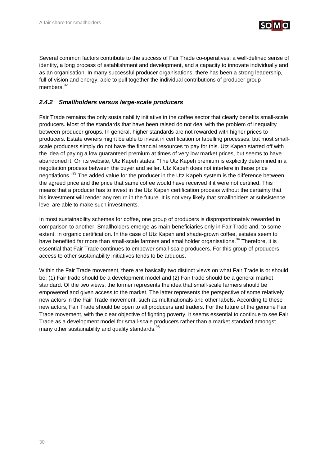

Several common factors contribute to the success of Fair Trade co-operatives: a well-defined sense of identity, a long process of establishment and development, and a capacity to innovate individually and as an organisation. In many successful producer organisations, there has been a strong leadership, full of vision and energy, able to pull together the individual contributions of producer group members.<sup>92</sup>

## *2.4.2 Smallholders versus large-scale producers*

Fair Trade remains the only sustainability initiative in the coffee sector that clearly benefits small-scale producers. Most of the standards that have been raised do not deal with the problem of inequality between producer groups. In general, higher standards are not rewarded with higher prices to producers. Estate owners might be able to invest in certification or labelling processes, but most smallscale producers simply do not have the financial resources to pay for this. Utz Kapeh started off with the idea of paying a low guaranteed premium at times of very low market prices, but seems to have abandoned it. On its website, Utz Kapeh states: "The Utz Kapeh premium is explicitly determined in a negotiation process between the buyer and seller. Utz Kapeh does not interfere in these price negotiations."<sup>93</sup> The added value for the producer in the Utz Kapeh system is the difference between the agreed price and the price that same coffee would have received if it were not certified. This means that a producer has to invest in the Utz Kapeh certification process without the certainty that his investment will render any return in the future. It is not very likely that smallholders at subsistence level are able to make such investments.

In most sustainability schemes for coffee, one group of producers is disproportionately rewarded in comparison to another. Smallholders emerge as main beneficiaries only in Fair Trade and, to some extent, in organic certification. In the case of Utz Kapeh and shade-grown coffee, estates seem to have benefited far more than small-scale farmers and smallholder organisations.<sup>94</sup> Therefore, it is essential that Fair Trade continues to empower small-scale producers. For this group of producers, access to other sustainability initiatives tends to be arduous.

Within the Fair Trade movement, there are basically two distinct views on what Fair Trade is or should be: (1) Fair trade should be a development model and (2) Fair trade should be a general market standard. Of the two views, the former represents the idea that small-scale farmers should be empowered and given access to the market. The latter represents the perspective of some relatively new actors in the Fair Trade movement, such as multinationals and other labels. According to these new actors, Fair Trade should be open to all producers and traders. For the future of the genuine Fair Trade movement, with the clear objective of fighting poverty, it seems essential to continue to see Fair Trade as a development model for small-scale producers rather than a market standard amongst many other sustainability and quality standards.<sup>95</sup>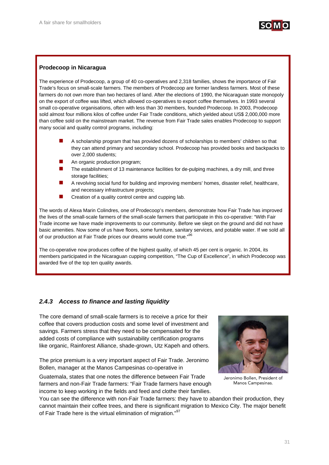

## **Prodecoop in Nicaragua**

The experience of Prodecoop, a group of 40 co-operatives and 2,318 families, shows the importance of Fair Trade's focus on small-scale farmers. The members of Prodecoop are former landless farmers. Most of these farmers do not own more than two hectares of land. After the elections of 1990, the Nicaraguan state monopoly on the export of coffee was lifted, which allowed co-operatives to export coffee themselves. In 1993 several small co-operative organisations, often with less than 30 members, founded Prodecoop. In 2003, Prodecoop sold almost four millions kilos of coffee under Fair Trade conditions, which yielded about US\$ 2,000,000 more than coffee sold on the mainstream market. The revenue from Fair Trade sales enables Prodecoop to support many social and quality control programs, including:

- A scholarship program that has provided dozens of scholarships to members' children so that they can attend primary and secondary school. Prodecoop has provided books and backpacks to over 2,000 students;
- An organic production program;
- The establishment of 13 maintenance facilities for de-pulping machines, a dry mill, and three storage facilities;
- A revolving social fund for building and improving members' homes, disaster relief, healthcare, and necessary infrastructure projects;
- Creation of a quality control centre and cupping lab.

The words of Alexa Marin Colindres, one of Prodecoop's members, demonstrate how Fair Trade has improved the lives of the small-scale farmers of the small-scale farmers that participate in this co-operative: "With Fair Trade income we have made improvements to our community. Before we slept on the ground and did not have basic amenities. Now some of us have floors, some furniture, sanitary services, and potable water. If we sold all of our production at Fair Trade prices our dreams would come true."96

The co-operative now produces coffee of the highest quality, of which 45 per cent is organic. In 2004, its members participated in the Nicaraguan cupping competition, "The Cup of Excellence", in which Prodecoop was awarded five of the top ten quality awards.

## *2.4.3 Access to finance and lasting liquidity*

The core demand of small-scale farmers is to receive a price for their coffee that covers production costs and some level of investment and savings. Farmers stress that they need to be compensated for the added costs of compliance with sustainability certification programs like organic, Rainforest Alliance, shade-grown, Utz Kapeh and others.

The price premium is a very important aspect of Fair Trade. Jeronimo Bollen, manager at the Manos Campesinas co-operative in

Guatemala, states that one notes the difference between Fair Trade farmers and non-Fair Trade farmers: "Fair Trade farmers have enough income to keep working in the fields and feed and clothe their families.



Jeronimo Bollen, President of Manos Campesinas.

You can see the difference with non-Fair Trade farmers: they have to abandon their production, they cannot maintain their coffee trees, and there is significant migration to Mexico City. The major benefit of Fair Trade here is the virtual elimination of migration."<sup>97</sup>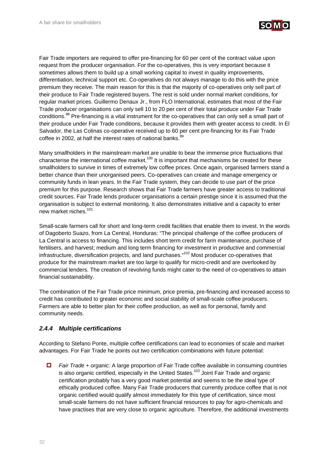

Fair Trade importers are required to offer pre-financing for 60 per cent of the contract value upon request from the producer organisation. For the co-operatives, this is very important because it sometimes allows them to build up a small working capital to invest in quality improvements, differentiation, technical support etc. Co-operatives do not always manage to do this with the price premium they receive. The main reason for this is that the majority of co-operatives only sell part of their produce to Fair Trade registered buyers. The rest is sold under normal market conditions, for regular market prices. Guillermo Denaux Jr., from FLO International, estimates that most of the Fair Trade producer organisations can only sell 10 to 20 per cent of their total produce under Fair Trade conditions.<sup>98</sup> Pre-financing is a vital instrument for the co-operatives that can only sell a small part of their produce under Fair Trade conditions, because it provides them with greater access to credit. In El Salvador, the Las Colinas co-operative received up to 60 per cent pre-financing for its Fair Trade coffee in 2002, at half the interest rates of national banks.<sup>99</sup>

Many smallholders in the mainstream market are unable to bear the immense price fluctuations that characterise the international coffee market.<sup>100</sup> It is important that mechanisms be created for these smallholders to survive in times of extremely low coffee prices. Once again, organised farmers stand a better chance than their unorganised peers. Co-operatives can create and manage emergency or community funds in lean years. In the Fair Trade system, they can decide to use part of the price premium for this purpose. Research shows that Fair Trade farmers have greater access to traditional credit sources. Fair Trade lends producer organisations a certain prestige since it is assumed that the organisation is subject to external monitoring. It also demonstrates initiative and a capacity to enter new market niches.101

Small-scale farmers call for short and long-term credit facilities that enable them to invest. In the words of Dagoberto Suazo, from La Central, Honduras: "The principal challenge of the coffee producers of La Central is access to financing. This includes short term credit for farm maintenance, purchase of fertilisers, and harvest; medium and long term financing for investment in productive and commercial infrastructure, diversification projects, and land purchases."102 Most producer co-operatives that produce for the mainstream market are too large to qualify for micro-credit and are overlooked by commercial lenders. The creation of revolving funds might cater to the need of co-operatives to attain financial sustainability.

The combination of the Fair Trade price minimum, price premia, pre-financing and increased access to credit has contributed to greater economic and social stability of small-scale coffee producers. Farmers are able to better plan for their coffee production, as well as for personal, family and community needs.

## *2.4.4 Multiple certifications*

According to Stefano Ponte, multiple coffee certifications can lead to economies of scale and market advantages. For Fair Trade he points out two certification combinations with future potential:

 *Fair Trade + organic:* A large proportion of Fair Trade coffee available in consuming countries is also organic certified, especially in the United States.<sup>103</sup> Joint Fair Trade and organic certification probably has a very good market potential and seems to be the ideal type of ethically produced coffee. Many Fair Trade producers that currently produce coffee that is not organic certified would qualify almost immediately for this type of certification, since most small-scale farmers do not have sufficient financial resources to pay for agro-chemicals and have practises that are very close to organic agriculture. Therefore, the additional investments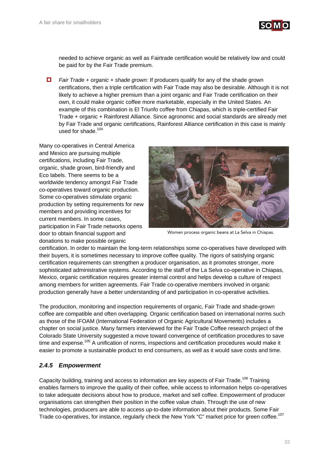

needed to achieve organic as well as Fairtrade certification would be relatively low and could be paid for by the Fair Trade premium.

**Fair Trade + organic + shade grown:** If producers qualify for any of the shade grown certifications, then a triple certification with Fair Trade may also be desirable. Although it is not likely to achieve a higher premium than a joint organic and Fair Trade certification on their own, it could make organic coffee more marketable, especially in the United States. An example of this combination is El Triunfo coffee from Chiapas, which is triple-certified Fair Trade + organic + Rainforest Alliance. Since agronomic and social standards are already met by Fair Trade and organic certifications, Rainforest Alliance certification in this case is mainly used for shade.<sup>104</sup>

Many co-operatives in Central America and Mexico are pursuing multiple certifications, including Fair Trade, organic, shade grown, bird-friendly and Eco labels. There seems to be a worldwide tendency amongst Fair Trade co-operatives toward organic production. Some co-operatives stimulate organic production by setting requirements for new members and providing incentives for current members. In some cases, participation in Fair Trade networks opens door to obtain financial support and donations to make possible organic



Women process organic beans at La Selva in Chiapas.

certification. In order to maintain the long-term relationships some co-operatives have developed with their buyers, it is sometimes necessary to improve coffee quality. The rigors of satisfying organic certification requirements can strengthen a producer organisation, as it promotes stronger, more sophisticated administrative systems. According to the staff of the La Selva co-operative in Chiapas, Mexico, organic certification requires greater internal control and helps develop a culture of respect among members for written agreements. Fair Trade co-operative members involved in organic production generally have a better understanding of and participation in co-operative activities.

The production, monitoring and inspection requirements of organic, Fair Trade and shade-grown coffee are compatible and often overlapping. Organic certification based on international norms such as those of the IFOAM (International Federation of Organic Agricultural Movements) includes a chapter on social justice. Many farmers interviewed for the Fair Trade Coffee research project of the Colorado State University suggested a move toward convergence of certification procedures to save time and expense.<sup>105</sup> A unification of norms, inspections and certification procedures would make it easier to promote a sustainable product to end consumers, as well as it would save costs and time.

## *2.4.5 Empowerment*

Capacity building, training and access to information are key aspects of Fair Trade.<sup>106</sup> Training enables farmers to improve the quality of their coffee, while access to information helps co-operatives to take adequate decisions about how to produce, market and sell coffee. Empowerment of producer organisations can strengthen their position in the coffee value chain. Through the use of new technologies, producers are able to access up-to-date information about their products. Some Fair Trade co-operatives, for instance, regularly check the New York "C" market price for green coffee.<sup>107</sup>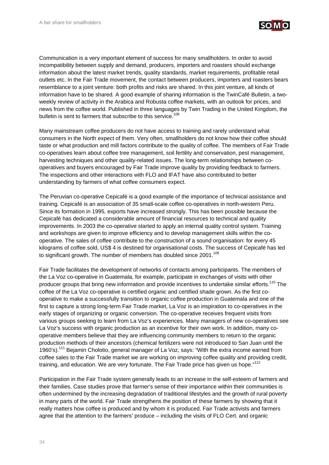

Communication is a very important element of success for many smallholders. In order to avoid incompatibility between supply and demand, producers, importers and roasters should exchange information about the latest market trends, quality standards, market requirements, profitable retail outlets etc. In the Fair Trade movement, the contact between producers, importers and roasters bears resemblance to a joint venture: both profits and risks are shared. In this joint venture, all kinds of information have to be shared*.* A good example of sharing information is the TwinCafé Bulletin, a twoweekly review of activity in the Arabica and Robusta coffee markets, with an outlook for prices, and news from the coffee world. Published in three languages by Twin Trading in the United Kingdom, the bulletin is sent to farmers that subscribe to this service.<sup>108</sup>

Many mainstream coffee producers do not have access to training and rarely understand what consumers in the North expect of them. Very often, smallholders do not know how their coffee should taste or what production and mill factors contribute to the quality of coffee. The members of Fair Trade co-operatives learn about coffee tree management, soil fertility and conservation, pest management, harvesting techniques and other quality-related issues. The long-term relationships between cooperatives and buyers encouraged by Fair Trade improve quality by providing feedback to farmers. The inspections and other interactions with FLO and IFAT have also contributed to better understanding by farmers of what coffee consumers expect.

The Peruvian co-operative Cepicafé is a good example of the importance of technical assistance and training. Cepicafé is an association of 35 small-scale coffee co-operatives in north-western Peru. Since its formation in 1995, exports have increased strongly. This has been possible because the Cepicafé has dedicated a considerable amount of financial resources to technical and quality improvements. In 2003 the co-operative started to apply an internal quality control system. Training and workshops are given to improve efficiency and to develop management skills within the cooperative. The sales of coffee contribute to the construction of a sound organisation: for every 45 kilograms of coffee sold, US\$ 4 is destined for organisational costs. The success of Cepicafé has led to significant growth. The number of members has doubled since 2001.<sup>109</sup>

Fair Trade facilitates the development of networks of contacts among participants. The members of the La Voz co-operative in Guatemala, for example, participate in exchanges of visits with other producer groups that bring new information and provide incentives to undertake similar efforts.<sup>110</sup> The coffee of the La Voz co-operative is certified organic and certified shade grown. As the first cooperative to make a successfully transition to organic coffee production in Guatemala and one of the first to capture a strong long-term Fair Trade market, La Voz is an inspiration to co-operatives in the early stages of organizing or organic conversion. The co-operative receives frequent visits from various groups seeking to learn from La Voz's experiences. Many managers of new co-operatives see La Voz's success with organic production as an incentive for their own work. In addition, many cooperative members believe that they are influencing community members to return to the organic production methods of their ancestors (chemical fertilizers were not introduced to San Juan until the 1960's).111 Bejamin Cholotio, general manager of La Voz, says: "With the extra income earned from coffee sales to the Fair Trade market we are working on improving coffee quality and providing credit, training, and education. We are very fortunate. The Fair Trade price has given us hope."<sup>112</sup>

Participation in the Fair Trade system generally leads to an increase in the self-esteem of farmers and their families. Case studies prove that farmer's sense of their importance within their communities is often undermined by the increasing degradation of traditional lifestyles and the growth of rural poverty in many parts of the world. Fair Trade strengthens the position of these farmers by showing that it really matters how coffee is produced and by whom it is produced. Fair Trade activists and farmers agree that the attention to the farmers' produce – including the visits of FLO Cert. and organic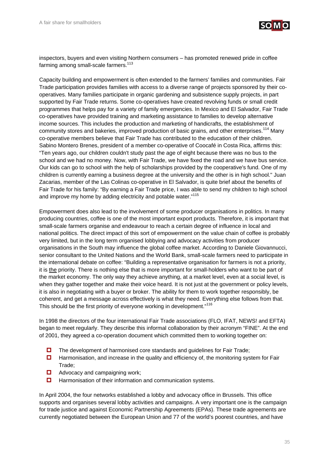

inspectors, buyers and even visiting Northern consumers – has promoted renewed pride in coffee farming among small-scale farmers. $113$ 

Capacity building and empowerment is often extended to the farmers' families and communities. Fair Trade participation provides families with access to a diverse range of projects sponsored by their cooperatives. Many families participate in organic gardening and subsistence supply projects, in part supported by Fair Trade returns. Some co-operatives have created revolving funds or small credit programmes that helps pay for a variety of family emergencies. In Mexico and El Salvador, Fair Trade co-operatives have provided training and marketing assistance to families to develop alternative income sources. This includes the production and marketing of handicrafts, the establishment of community stores and bakeries, improved production of basic grains, and other enterprises.<sup>114</sup> Many co-operative members believe that Fair Trade has contributed to the education of their children. Sabino Montero Brenes, president of a member co-operative of Coocafé in Costa Rica, affirms this: "Ten years ago, our children couldn't study past the age of eight because there was no bus to the school and we had no money. Now, with Fair Trade, we have fixed the road and we have bus service. Our kids can go to school with the help of scholarships provided by the cooperative's fund. One of my children is currently earning a business degree at the university and the other is in high school." Juan Zacarias, member of the Las Colinas co-operative in El Salvador, is quite brief about the benefits of Fair Trade for his family: "By earning a Fair Trade price, I was able to send my children to high school and improve my home by adding electricity and potable water."<sup>115</sup>

Empowerment does also lead to the involvement of some producer organisations in politics. In many producing countries, coffee is one of the most important export products. Therefore, it is important that small-scale farmers organise and endeavour to reach a certain degree of influence in local and national politics. The direct impact of this sort of empowerment on the value chain of coffee is probably very limited, but in the long term organised lobbying and advocacy activities from producer organisations in the South may influence the global coffee market. According to Daniele Giovannucci, senior consultant to the United Nations and the World Bank, small-scale farmers need to participate in the international debate on coffee: "Building a representative organisation for farmers is not a priority, it is the priority. There is nothing else that is more important for small-holders who want to be part of the market economy. The only way they achieve anything, at a market level, even at a social level, is when they gather together and make their voice heard. It is not just at the government or policy levels, it is also in negotiating with a buyer or broker. The ability for them to work together responsibly, be coherent, and get a message across effectively is what they need. Everything else follows from that. This should be the first priority of everyone working in development."<sup>116</sup>

In 1998 the directors of the four international Fair Trade associations (FLO, IFAT, NEWS! and EFTA) began to meet regularly. They describe this informal collaboration by their acronym "FINE". At the end of 2001, they agreed a co-operation document which committed them to working together on:

- $\Box$  The development of harmonised core standards and guidelines for Fair Trade;
- $\Box$  Harmonisation, and increase in the quality and efficiency of, the monitoring system for Fair Trade;
- $\Box$  Advocacy and campaigning work;
- $\Box$  Harmonisation of their information and communication systems.

In April 2004, the four networks established a lobby and advocacy office in Brussels. This office supports and organises several lobby activities and campaigns. A very important one is the campaign for trade justice and against Economic Partnership Agreements (EPAs). These trade agreements are currently negotiated between the European Union and 77 of the world's poorest countries, and have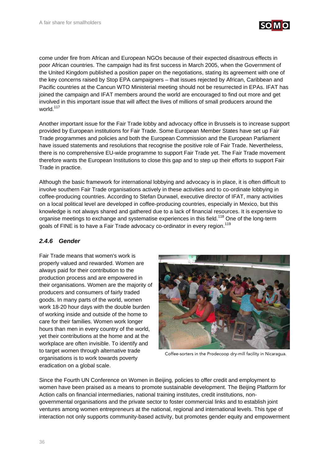

come under fire from African and European NGOs because of their expected disastrous effects in poor African countries. The campaign had its first success in March 2005, when the Government of the United Kingdom published a position paper on the negotiations, stating its agreement with one of the key concerns raised by Stop EPA campaigners – that issues rejected by African, Caribbean and Pacific countries at the Cancun WTO Ministerial meeting should not be resurrected in EPAs. IFAT has joined the campaign and IFAT members around the world are encouraged to find out more and get involved in this important issue that will affect the lives of millions of small producers around the world.<sup>117</sup>

Another important issue for the Fair Trade lobby and advocacy office in Brussels is to increase support provided by European institutions for Fair Trade. Some European Member States have set up Fair Trade programmes and policies and both the European Commission and the European Parliament have issued statements and resolutions that recognise the positive role of Fair Trade. Nevertheless, there is no comprehensive EU-wide programme to support Fair Trade yet. The Fair Trade movement therefore wants the European Institutions to close this gap and to step up their efforts to support Fair Trade in practice.

Although the basic framework for international lobbying and advocacy is in place, it is often difficult to involve southern Fair Trade organisations actively in these activities and to co-ordinate lobbying in coffee-producing countries. According to Stefan Durwael, executive director of IFAT, many activities on a local political level are developed in coffee-producing countries, especially in Mexico, but this knowledge is not always shared and gathered due to a lack of financial resources. It is expensive to organise meetings to exchange and systematise experiences in this field.<sup>118</sup> One of the long-term goals of FINE is to have a Fair Trade advocacy co-ordinator in every region.<sup>119</sup>

## *2.4.6 Gender*

Fair Trade means that women's work is properly valued and rewarded. Women are always paid for their contribution to the production process and are empowered in their organisations. Women are the majority of producers and consumers of fairly traded goods. In many parts of the world, women work 18-20 hour days with the double burden of working inside and outside of the home to care for their families. Women work longer hours than men in every country of the world, yet their contributions at the home and at the workplace are often invisible. To identify and to target women through alternative trade organisations is to work towards poverty eradication on a global scale.



Coffee-sorters in the Prodecoop dry-mill facility in Nicaragua.

Since the Fourth UN Conference on Women in Beijing, policies to offer credit and employment to women have been praised as a means to promote sustainable development. The Beijing Platform for Action calls on financial intermediaries, national training institutes, credit institutions, nongovernmental organisations and the private sector to foster commercial links and to establish joint ventures among women entrepreneurs at the national, regional and international levels. This type of interaction not only supports community-based activity, but promotes gender equity and empowerment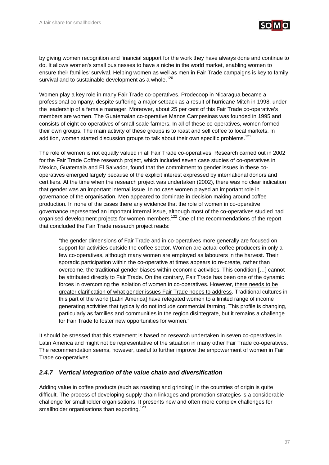

by giving women recognition and financial support for the work they have always done and continue to do. It allows women's small businesses to have a niche in the world market, enabling women to ensure their families' survival. Helping women as well as men in Fair Trade campaigns is key to family survival and to sustainable development as a whole.<sup>120</sup>

Women play a key role in many Fair Trade co-operatives. Prodecoop in Nicaragua became a professional company, despite suffering a major setback as a result of hurricane Mitch in 1998, under the leadership of a female manager. Moreover, about 25 per cent of this Fair Trade co-operative's members are women. The Guatemalan co-operative Manos Campesinas was founded in 1995 and consists of eight co-operatives of small-scale farmers. In all of these co-operatives, women formed their own groups. The main activity of these groups is to roast and sell coffee to local markets. In addition, women started discussion groups to talk about their own specific problems.<sup>121</sup>

The role of women is not equally valued in all Fair Trade co-operatives. Research carried out in 2002 for the Fair Trade Coffee research project, which included seven case studies of co-operatives in Mexico, Guatemala and El Salvador, found that the commitment to gender issues in these cooperatives emerged largely because of the explicit interest expressed by international donors and certifiers. At the time when the research project was undertaken (2002), there was no clear indication that gender was an important internal issue. In no case women played an important role in governance of the organisation. Men appeared to dominate in decision making around coffee production. In none of the cases there any evidence that the role of women in co-operative governance represented an important internal issue, although most of the co-operatives studied had organised development projects for women members.<sup>122</sup> One of the recommendations of the report that concluded the Fair Trade research project reads:

"the gender dimensions of Fair Trade and in co-operatives more generally are focused on support for activities outside the coffee sector. Women are actual coffee producers in only a few co-operatives, although many women are employed as labourers in the harvest. Their sporadic participation within the co-operative at times appears to re-create, rather than overcome, the traditional gender biases within economic activities. This condition […] cannot be attributed directly to Fair Trade. On the contrary, Fair Trade has been one of the dynamic forces in overcoming the isolation of women in co-operatives. However, there needs to be greater clarification of what gender issues Fair Trade hopes to address. Traditional cultures in this part of the world [Latin America] have relegated women to a limited range of income generating activities that typically do not include commercial farming. This profile is changing, particularly as families and communities in the region disintegrate, but it remains a challenge for Fair Trade to foster new opportunities for women."

It should be stressed that this statement is based on research undertaken in seven co-operatives in Latin America and might not be representative of the situation in many other Fair Trade co-operatives. The recommendation seems, however, useful to further improve the empowerment of women in Fair Trade co-operatives.

## *2.4.7 Vertical integration of the value chain and diversification*

Adding value in coffee products (such as roasting and grinding) in the countries of origin is quite difficult. The process of developing supply chain linkages and promotion strategies is a considerable challenge for smallholder organisations. It presents new and often more complex challenges for smallholder organisations than exporting.<sup>123</sup>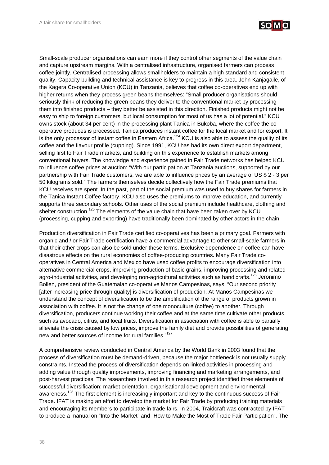

Small-scale producer organisations can earn more if they control other segments of the value chain and capture upstream margins. With a centralised infrastructure, organised farmers can process coffee jointly. Centralised processing allows smallholders to maintain a high standard and consistent quality. Capacity building and technical assistance is key to progress in this area. John Kanjagaile, of the Kagera Co-operative Union (KCU) in Tanzania, believes that coffee co-operatives end up with higher returns when they process green beans themselves: "Small producer organisations should seriously think of reducing the green beans they deliver to the conventional market by processing them into finished products – they better be assisted in this direction. Finished products might not be easy to ship to foreign customers, but local consumption for most of us has a lot of potential." KCU owns stock (about 34 per cent) in the processing plant Tanica in Bukoba, where the coffee the cooperative produces is processed. Tanica produces instant coffee for the local market and for export. It is the only processor of instant coffee in Eastern Africa.<sup>124</sup> KCU is also able to assess the quality of its coffee and the flavour profile (cupping). Since 1991, KCU has had its own direct export department, selling first to Fair Trade markets, and building on this experience to establish markets among conventional buyers. The knowledge and experience gained in Fair Trade networks has helped KCU to influence coffee prices at auction: "With our participation at Tanzania auctions, supported by our partnership with Fair Trade customers, we are able to influence prices by an average of US \$ 2 - 3 per 50 kilograms sold." The farmers themselves decide collectively how the Fair Trade premiums that KCU receives are spent. In the past, part of the social premium was used to buy shares for farmers in the Tanica Instant Coffee factory. KCU also uses the premiums to improve education, and currently supports three secondary schools. Other uses of the social premium include healthcare, clothing and shelter construction.<sup>125</sup> The elements of the value chain that have been taken over by KCU (processing, cupping and exporting) have traditionally been dominated by other actors in the chain.

Production diversification in Fair Trade certified co-operatives has been a primary goal. Farmers with organic and / or Fair Trade certification have a commercial advantage to other small-scale farmers in that their other crops can also be sold under these terms. Exclusive dependence on coffee can have disastrous effects on the rural economies of coffee-producing countries. Many Fair Trade cooperatives in Central America and Mexico have used coffee profits to encourage diversification into alternative commercial crops, improving production of basic grains, improving processing and related agro-industrial activities, and developing non-agricultural activities such as handicrafts.<sup>126</sup> Jeronimo Bollen, president of the Guatemalan co-operative Manos Campesinas, says: "Our second priority [after increasing price through quality] is diversification of production. At Manos Campesinas we understand the concept of diversification to be the amplification of the range of products grown in association with coffee. It is not the change of one monoculture (coffee) to another. Through diversification, producers continue working their coffee and at the same time cultivate other products, such as avocado, citrus, and local fruits. Diversification in association with coffee is able to partially alleviate the crisis caused by low prices, improve the family diet and provide possibilities of generating new and better sources of income for rural families."<sup>127</sup>

A comprehensive review conducted in Central America by the World Bank in 2003 found that the process of diversification must be demand-driven, because the major bottleneck is not usually supply constraints. Instead the process of diversification depends on linked activities in processing and adding value through quality improvements, improving financing and marketing arrangements, and post-harvest practices. The researchers involved in this research project identified three elements of successful diversification: market orientation, organisational development and environmental awareness.<sup>128</sup> The first element is increasingly important and key to the continuous success of Fair Trade. IFAT is making an effort to develop the market for Fair Trade by producing training materials and encouraging its members to participate in trade fairs. In 2004, Traidcraft was contracted by IFAT to produce a manual on "Into the Market" and "How to Make the Most of Trade Fair Participation". The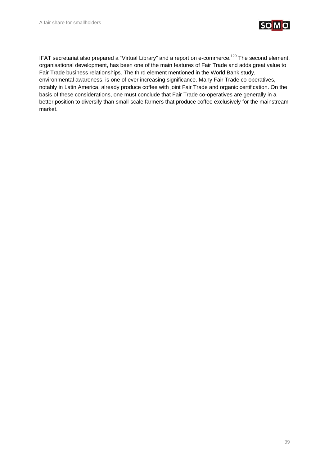

IFAT secretariat also prepared a "Virtual Library" and a report on e-commerce.<sup>129</sup> The second element, organisational development, has been one of the main features of Fair Trade and adds great value to Fair Trade business relationships. The third element mentioned in the World Bank study, environmental awareness, is one of ever increasing significance. Many Fair Trade co-operatives, notably in Latin America, already produce coffee with joint Fair Trade and organic certification. On the basis of these considerations, one must conclude that Fair Trade co-operatives are generally in a better position to diversify than small-scale farmers that produce coffee exclusively for the mainstream market.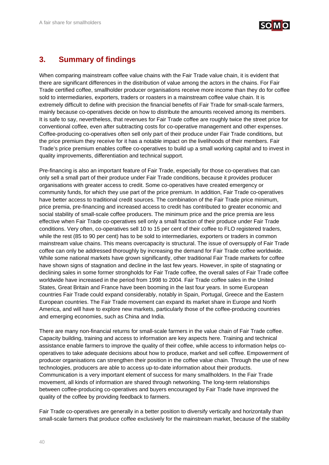

## **3. Summary of findings**

When comparing mainstream coffee value chains with the Fair Trade value chain, it is evident that there are significant differences in the distribution of value among the actors in the chains. For Fair Trade certified coffee, smallholder producer organisations receive more income than they do for coffee sold to intermediaries, exporters, traders or roasters in a mainstream coffee value chain. It is extremely difficult to define with precision the financial benefits of Fair Trade for small-scale farmers, mainly because co-operatives decide on how to distribute the amounts received among its members. It is safe to say, nevertheless, that revenues for Fair Trade coffee are roughly twice the street price for conventional coffee, even after subtracting costs for co-operative management and other expenses. Coffee-producing co-operatives often sell only part of their produce under Fair Trade conditions, but the price premium they receive for it has a notable impact on the livelihoods of their members. Fair Trade's price premium enables coffee co-operatives to build up a small working capital and to invest in quality improvements, differentiation and technical support.

Pre-financing is also an important feature of Fair Trade, especially for those co-operatives that can only sell a small part of their produce under Fair Trade conditions, because it provides producer organisations with greater access to credit. Some co-operatives have created emergency or community funds, for which they use part of the price premium. In addition, Fair Trade co-operatives have better access to traditional credit sources. The combination of the Fair Trade price minimum, price premia, pre-financing and increased access to credit has contributed to greater economic and social stability of small-scale coffee producers. The minimum price and the price premia are less effective when Fair Trade co-operatives sell only a small fraction of their produce under Fair Trade conditions. Very often, co-operatives sell 10 to 15 per cent of their coffee to FLO registered traders, while the rest (85 to 90 per cent) has to be sold to intermediaries, exporters or traders in common mainstream value chains. This means overcapacity is structural. The issue of oversupply of Fair Trade coffee can only be addressed thoroughly by increasing the demand for Fair Trade coffee worldwide. While some national markets have grown significantly, other traditional Fair Trade markets for coffee have shown signs of stagnation and decline in the last few years. However, in spite of stagnating or declining sales in some former strongholds for Fair Trade coffee, the overall sales of Fair Trade coffee worldwide have increased in the period from 1998 to 2004. Fair Trade coffee sales in the United States, Great Britain and France have been booming in the last four years. In some European countries Fair Trade could expand considerably, notably in Spain, Portugal, Greece and the Eastern European countries. The Fair Trade movement can expand its market share in Europe and North America, and will have to explore new markets, particularly those of the coffee-producing countries and emerging economies, such as China and India.

There are many non-financial returns for small-scale farmers in the value chain of Fair Trade coffee. Capacity building, training and access to information are key aspects here. Training and technical assistance enable farmers to improve the quality of their coffee, while access to information helps cooperatives to take adequate decisions about how to produce, market and sell coffee. Empowerment of producer organisations can strengthen their position in the coffee value chain. Through the use of new technologies, producers are able to access up-to-date information about their products. Communication is a very important element of success for many smallholders. In the Fair Trade movement, all kinds of information are shared through networking. The long-term relationships between coffee-producing co-operatives and buyers encouraged by Fair Trade have improved the quality of the coffee by providing feedback to farmers.

Fair Trade co-operatives are generally in a better position to diversify vertically and horizontally than small-scale farmers that produce coffee exclusively for the mainstream market, because of the stability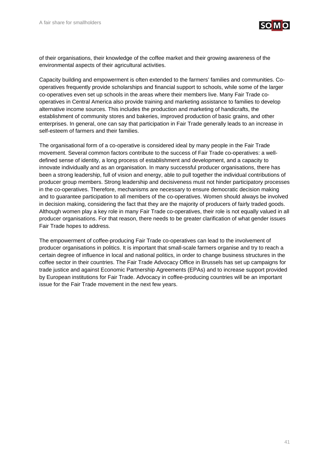

of their organisations, their knowledge of the coffee market and their growing awareness of the environmental aspects of their agricultural activities.

Capacity building and empowerment is often extended to the farmers' families and communities. Cooperatives frequently provide scholarships and financial support to schools, while some of the larger co-operatives even set up schools in the areas where their members live. Many Fair Trade cooperatives in Central America also provide training and marketing assistance to families to develop alternative income sources. This includes the production and marketing of handicrafts, the establishment of community stores and bakeries, improved production of basic grains, and other enterprises. In general, one can say that participation in Fair Trade generally leads to an increase in self-esteem of farmers and their families.

The organisational form of a co-operative is considered ideal by many people in the Fair Trade movement. Several common factors contribute to the success of Fair Trade co-operatives: a welldefined sense of identity, a long process of establishment and development, and a capacity to innovate individually and as an organisation. In many successful producer organisations, there has been a strong leadership, full of vision and energy, able to pull together the individual contributions of producer group members. Strong leadership and decisiveness must not hinder participatory processes in the co-operatives. Therefore, mechanisms are necessary to ensure democratic decision making and to guarantee participation to all members of the co-operatives. Women should always be involved in decision making, considering the fact that they are the majority of producers of fairly traded goods. Although women play a key role in many Fair Trade co-operatives, their role is not equally valued in all producer organisations. For that reason, there needs to be greater clarification of what gender issues Fair Trade hopes to address.

The empowerment of coffee-producing Fair Trade co-operatives can lead to the involvement of producer organisations in politics. It is important that small-scale farmers organise and try to reach a certain degree of influence in local and national politics, in order to change business structures in the coffee sector in their countries. The Fair Trade Advocacy Office in Brussels has set up campaigns for trade justice and against Economic Partnership Agreements (EPAs) and to increase support provided by European institutions for Fair Trade. Advocacy in coffee-producing countries will be an important issue for the Fair Trade movement in the next few years.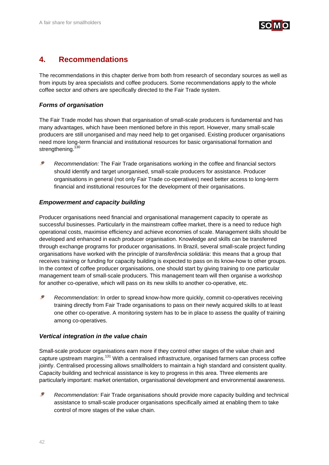

## **4. Recommendations**

The recommendations in this chapter derive from both from research of secondary sources as well as from inputs by area specialists and coffee producers. Some recommendations apply to the whole coffee sector and others are specifically directed to the Fair Trade system.

## *Forms of organisation*

The Fair Trade model has shown that organisation of small-scale producers is fundamental and has many advantages, which have been mentioned before in this report. However, many small-scale producers are still unorganised and may need help to get organised. Existing producer organisations need more long-term financial and institutional resources for basic organisational formation and strengthening.<sup>130</sup>

 $\epsilon$ *Recommendation:* The Fair Trade organisations working in the coffee and financial sectors should identify and target unorganised, small-scale producers for assistance. Producer organisations in general (not only Fair Trade co-operatives) need better access to long-term financial and institutional resources for the development of their organisations.

## *Empowerment and capacity building*

Producer organisations need financial and organisational management capacity to operate as successful businesses. Particularly in the mainstream coffee market, there is a need to reduce high operational costs, maximise efficiency and achieve economies of scale. Management skills should be developed and enhanced in each producer organisation. Knowledge and skills can be transferred through exchange programs for producer organisations. In Brazil, several small-scale project funding organisations have worked with the principle of *transferência solidária*: this means that a group that receives training or funding for capacity building is expected to pass on its know-how to other groups. In the context of coffee producer organisations, one should start by giving training to one particular management team of small-scale producers. This management team will then organise a workshop for another co-operative, which will pass on its new skills to another co-operative, etc.

S *Recommendation:* In order to spread know-how more quickly, commit co-operatives receiving training directly from Fair Trade organisations to pass on their newly acquired skills to at least one other co-operative. A monitoring system has to be in place to assess the quality of training among co-operatives.

## *Vertical integration in the value chain*

Small-scale producer organisations earn more if they control other stages of the value chain and capture upstream margins.<sup>131</sup> With a centralised infrastructure, organised farmers can process coffee jointly. Centralised processing allows smallholders to maintain a high standard and consistent quality. Capacity building and technical assistance is key to progress in this area. Three elements are particularly important: market orientation, organisational development and environmental awareness.

S *Recommendation:* Fair Trade organisations should provide more capacity building and technical assistance to small-scale producer organisations specifically aimed at enabling them to take control of more stages of the value chain.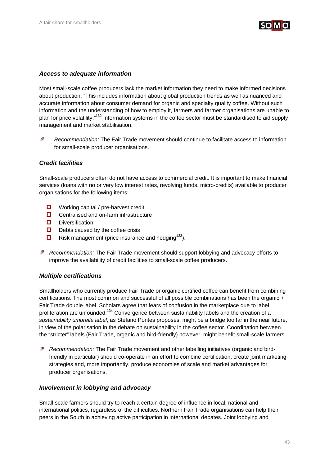

## *Access to adequate information*

Most small-scale coffee producers lack the market information they need to make informed decisions about production. "This includes information about global production trends as well as nuanced and accurate information about consumer demand for organic and specialty quality coffee. Without such information and the understanding of how to employ it, farmers and farmer organisations are unable to plan for price volatility."132 Information systems in the coffee sector must be standardised to aid supply management and market stabilisation.

S *Recommendation:* The Fair Trade movement should continue to facilitate access to information for small-scale producer organisations.

## *Credit facilities*

Small-scale producers often do not have access to commercial credit. It is important to make financial services (loans with no or very low interest rates, revolving funds, micro-credits) available to producer organisations for the following items:

- $\Box$  Working capital / pre-harvest credit
- $\Box$  Centralised and on-farm infrastructure
- Diversification
- $\Box$  Debts caused by the coffee crisis
- $\Box$  Risk management (price insurance and hedging<sup>133</sup>).
- *Recommendation:* The Fair Trade movement should support lobbying and advocacy efforts to improve the availability of credit facilities to small-scale coffee producers.

### *Multiple certifications*

Smallholders who currently produce Fair Trade or organic certified coffee can benefit from combining certifications. The most common and successful of all possible combinations has been the organic + Fair Trade double label. Scholars agree that fears of confusion in the marketplace due to label proliferation are unfounded.<sup>134</sup> Convergence between sustainability labels and the creation of a *sustainability umbrella label*, as Stefano Pontes proposes, might be a bridge too far in the near future, in view of the polarisation in the debate on sustainability in the coffee sector. Coordination between the "stricter" labels (Fair Trade, organic and bird-friendly) however, might benefit small-scale farmers.

*Recommendation:* The Fair Trade movement and other labelling initiatives (organic and birdfriendly in particular) should co-operate in an effort to combine certification, create joint marketing strategies and, more importantly, produce economies of scale and market advantages for producer organisations.

### *Involvement in lobbying and advocacy*

Small-scale farmers should try to reach a certain degree of influence in local, national and international politics, regardless of the difficulties. Northern Fair Trade organisations can help their peers in the South in achieving active participation in international debates. Joint lobbying and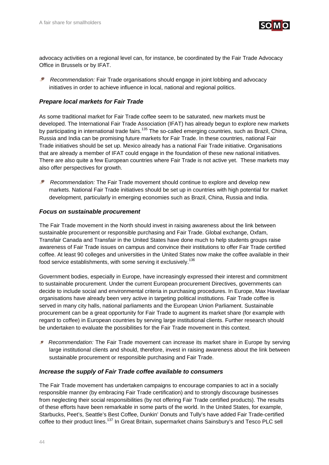

advocacy activities on a regional level can, for instance, be coordinated by the Fair Trade Advocacy Office in Brussels or by IFAT.

S  *Recommendation:* Fair Trade organisations should engage in joint lobbing and advocacy initiatives in order to achieve influence in local, national and regional politics.

## *Prepare local markets for Fair Trade*

As some traditional market for Fair Trade coffee seem to be saturated, new markets must be developed. The International Fair Trade Association (IFAT) has already begun to explore new markets by participating in international trade fairs.<sup>135</sup> The so-called emerging countries, such as Brazil, China, Russia and India can be promising future markets for Fair Trade. In these countries, national Fair Trade initiatives should be set up. Mexico already has a national Fair Trade initiative. Organisations that are already a member of IFAT could engage in the foundation of these new national initiatives. There are also quite a few European countries where Fair Trade is not active yet. These markets may also offer perspectives for growth.

 *Recommendation:* The Fair Trade movement should continue to explore and develop new markets. National Fair Trade initiatives should be set up in countries with high potential for market development, particularly in emerging economies such as Brazil, China, Russia and India.

## *Focus on sustainable procurement*

The Fair Trade movement in the North should invest in raising awareness about the link between sustainable procurement or responsible purchasing and Fair Trade. Global exchange, Oxfam, Transfair Canada and Transfair in the United States have done much to help students groups raise awareness of Fair Trade issues on campus and convince their institutions to offer Fair Trade certified coffee. At least 90 colleges and universities in the United States now make the coffee available in their food service establishments, with some serving it exclusively.<sup>136</sup>

Government bodies, especially in Europe, have increasingly expressed their interest and commitment to sustainable procurement. Under the current European procurement Directives, governments can decide to include social and environmental criteria in purchasing procedures. In Europe, Max Havelaar organisations have already been very active in targeting political institutions. Fair Trade coffee is served in many city halls, national parliaments and the European Union Parliament. Sustainable procurement can be a great opportunity for Fair Trade to augment its market share (for example with regard to coffee) in European countries by serving large institutional clients. Further research should be undertaken to evaluate the possibilities for the Fair Trade movement in this context.

 *Recommendation:* The Fair Trade movement can increase its market share in Europe by serving large institutional clients and should, therefore, invest in raising awareness about the link between sustainable procurement or responsible purchasing and Fair Trade.

### *Increase the supply of Fair Trade coffee available to consumers*

The Fair Trade movement has undertaken campaigns to encourage companies to act in a socially responsible manner (by embracing Fair Trade certification) and to strongly discourage businesses from neglecting their social responsibilities (by not offering Fair Trade certified products). The results of these efforts have been remarkable in some parts of the world. In the United States, for example, Starbucks, Peet's, Seattle's Best Coffee, Dunkin' Donuts and Tully's have added Fair Trade-certified coffee to their product lines.<sup>137</sup> In Great Britain, supermarket chains Sainsbury's and Tesco PLC sell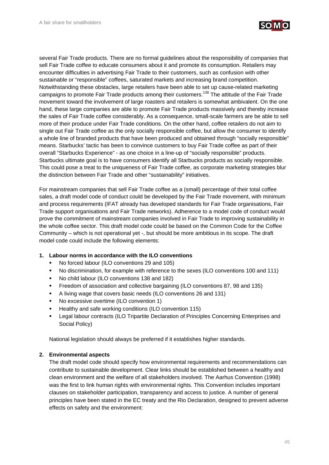

several Fair Trade products. There are no formal guidelines about the responsibility of companies that sell Fair Trade coffee to educate consumers about it and promote its consumption. Retailers may encounter difficulties in advertising Fair Trade to their customers, such as confusion with other sustainable or "responsible" coffees, saturated markets and increasing brand competition. Notwithstanding these obstacles, large retailers have been able to set up cause-related marketing campaigns to promote Fair Trade products among their customers.<sup>138</sup> The attitude of the Fair Trade movement toward the involvement of large roasters and retailers is somewhat ambivalent. On the one hand, these large companies are able to promote Fair Trade products massively and thereby increase the sales of Fair Trade coffee considerably. As a consequence, small-scale farmers are be able to sell more of their produce under Fair Trade conditions. On the other hand, coffee retailers do not aim to single out Fair Trade coffee as the only socially responsible coffee, but allow the consumer to identify a whole line of branded products that have been produced and obtained through "socially responsible" means. Starbucks' tactic has been to convince customers to buy Fair Trade coffee as part of their overall "Starbucks Experience" - as one choice in a line-up of "socially responsible" products. Starbucks ultimate goal is to have consumers identify all Starbucks products as socially responsible. This could pose a treat to the uniqueness of Fair Trade coffee, as corporate marketing strategies blur the distinction between Fair Trade and other "sustainability" initiatives.

For mainstream companies that sell Fair Trade coffee as a (small) percentage of their total coffee sales, a draft model code of conduct could be developed by the Fair Trade movement, with minimum and process requirements (IFAT already has developed standards for Fair Trade organisations, Fair Trade support organisations and Fair Trade networks). Adherence to a model code of conduct would prove the commitment of mainstream companies involved in Fair Trade to improving sustainability in the whole coffee sector. This draft model code could be based on the Common Code for the Coffee Community – which is not operational yet -, but should be more ambitious in its scope. The draft model code could include the following elements:

- **1. Labour norms in accordance with the ILO conventions** 
	- No forced labour (ILO conventions 29 and 105)
	- No discrimination, for example with reference to the sexes (ILO conventions 100 and 111)
	- No child labour (ILO conventions 138 and 182)
	- Freedom of association and collective bargaining (ILO conventions 87, 98 and 135)
	- A living wage that covers basic needs (ILO conventions 26 and 131)
	- No excessive overtime (ILO convention 1)
	- Healthy and safe working conditions (ILO convention 115)
	- Legal labour contracts (ILO Tripartite Declaration of Principles Concerning Enterprises and Social Policy)

National legislation should always be preferred if it establishes higher standards.

### **2. Environmental aspects**

The draft model code should specify how environmental requirements and recommendations can contribute to sustainable development. Clear links should be established between a healthy and clean environment and the welfare of all stakeholders involved. The Aarhus Convention (1998) was the first to link human rights with environmental rights. This Convention includes important clauses on stakeholder participation, transparency and access to justice. A number of general principles have been stated in the EC treaty and the Rio Declaration, designed to prevent adverse effects on safety and the environment: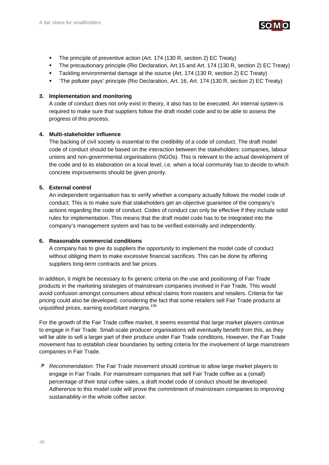

- The principle of preventive action (Art. 174 (130 R, section 2) EC Treaty)
- The precautionary principle (Rio Declaration, Art.15 and Art. 174 (130 R, section 2) EC Treaty)
- Tackling environmental damage at the source (Art. 174 (130 R, section 2) EC Treaty)
- 'The polluter pays' principle (Rio Declaration, Art. 16, Art. 174 (130 R, section 2) EC Treaty)

## **3. Implementation and monitoring**

A code of conduct does not only exist in theory, it also has to be executed. An internal system is required to make sure that suppliers follow the draft model code and to be able to assess the progress of this process.

## **4. Multi-stakeholder influence**

The backing of civil society is essential to the credibility of a code of conduct. The draft model code of conduct should be based on the interaction between the stakeholders: companies, labour unions and non-governmental organisations (NGOs). This is relevant to the actual development of the code and to its elaboration on a local level, i.e. when a local community has to decide to which concrete improvements should be given priority.

## **5. External control**

An independent organisation has to verify whether a company actually follows the model code of conduct. This is to make sure that stakeholders get an objective guarantee of the company's actions regarding the code of conduct. Codes of conduct can only be effective if they include solid rules for implementation. This means that the draft model code has to be integrated into the company's management system and has to be verified externally and independently.

## **6. Reasonable commercial conditions**

A company has to give its suppliers the opportunity to implement the model code of conduct without obliging them to make excessive financial sacrifices. This can be done by offering suppliers long-term contracts and fair prices.

In addition, it might be necessary to fix generic criteria on the use and positioning of Fair Trade products in the marketing strategies of mainstream companies involved in Fair Trade. This would avoid confusion amongst consumers about ethical claims from roasters and retailers. Criteria for fair pricing could also be developed, considering the fact that some retailers sell Fair Trade products at unjustified prices, earning exorbitant margins.<sup>139</sup>

For the growth of the Fair Trade coffee market, it seems essential that large market players continue to engage in Fair Trade. Small-scale producer organisations will eventually benefit from this, as they will be able to sell a larger part of their produce under Fair Trade conditions. However, the Fair Trade movement has to establish clear boundaries by setting criteria for the involvement of large mainstream companies in Fair Trade.

*Recommendation:* The Fair Trade movement should continue to allow large market players to engage in Fair Trade. For mainstream companies that sell Fair Trade coffee as a (small) percentage of their total coffee sales, a draft model code of conduct should be developed. Adherence to this model code will prove the commitment of mainstream companies to improving sustainability in the whole coffee sector.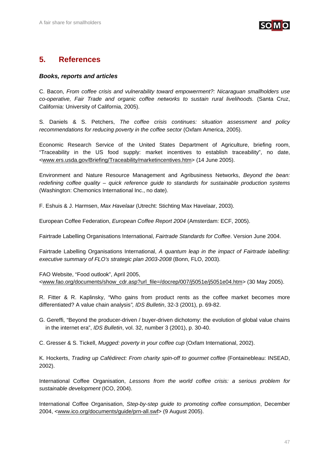

## **5. References**

## *Books, reports and articles*

C. Bacon, *From coffee crisis and vulnerability toward empowerment?: Nicaraguan smallholders use co-operative, Fair Trade and organic coffee networks to sustain rural livelihoods.* (Santa Cruz, California: University of California, 2005).

S. Daniels & S. Petchers, *The coffee crisis continues: situation assessment and policy recommendations for reducing poverty in the coffee sector* (Oxfam America, 2005).

Economic Research Service of the United States Department of Agriculture, briefing room, "Traceability in the US food supply: market incentives to establish traceability", no date, <www.ers.usda.gov/Briefing/Traceability/marketincentives.htm> (14 June 2005).

Environment and Nature Resource Management and Agribusiness Networks, *Beyond the bean: redefining coffee quality – quick reference guide to standards for sustainable production systems* (Washington: Chemonics International Inc., no date).

F. Eshuis & J. Harmsen, *Max Havelaar* (Utrecht: Stichting Max Havelaar, 2003).

European Coffee Federation, *European Coffee Report 2004* (Amsterdam: ECF, 2005).

Fairtrade Labelling Organisations International, *Fairtrade Standards for Coffee*. Version June 2004.

Fairtrade Labelling Organisations International, *A quantum leap in the impact of Fairtrade labelling: executive summary of FLO's strategic plan 2003-2008* (Bonn, FLO, 2003).

FAO Website, "Food outlook", April 2005, <www.fao.org/documents/show\_cdr.asp?url\_file=/docrep/007/j5051e/j5051e04.htm> (30 May 2005).

R. Fitter & R. Kaplinsky, "Who gains from product rents as the coffee market becomes more differentiated? A value chain analysis*", IDS Bulletin*, 32-3 (2001), p. 69-82.

G. Gereffi, "Beyond the producer-driven / buyer-driven dichotomy: the evolution of global value chains in the internet era", *IDS Bulletin*, vol. 32, number 3 (2001), p. 30-40.

C. Gresser & S. Tickell, *Mugged: poverty in your coffee cup* (Oxfam International, 2002).

K. Hockerts, *Trading up Cafédirect: From charity spin-off to gourmet coffee* (Fontainebleau: INSEAD, 2002).

International Coffee Organisation, *Lessons from the world coffee crisis: a serious problem for sustainable development* (ICO, 2004).

International Coffee Organisation, *Step-by-step guide to promoting coffee consumption*, December 2004, <www.ico.org/documents/guide/prn-all.swf> (9 August 2005).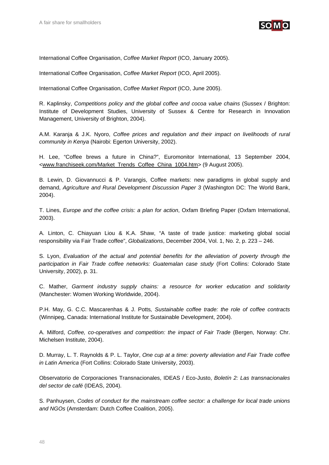

International Coffee Organisation, *Coffee Market Report* (ICO, January 2005).

International Coffee Organisation, *Coffee Market Report* (ICO, April 2005).

International Coffee Organisation, *Coffee Market Report* (ICO, June 2005).

R. Kaplinsky, *Competitions policy and the global coffee and cocoa value chains* (Sussex / Brighton: Institute of Development Studies, University of Sussex & Centre for Research in Innovation Management, University of Brighton, 2004).

A.M. Karanja & J.K. Nyoro, *Coffee prices and regulation and their impact on livelihoods of rural community in Kenya* (Nairobi: Egerton University, 2002).

H. Lee, "Coffee brews a future in China?", Euromonitor International, 13 September 2004, <www.franchiseek.com/Market\_Trends\_Coffee\_China\_1004.htm> (9 August 2005).

B. Lewin, D. Giovannucci & P. Varangis, Coffee markets: new paradigms in global supply and demand, *Agriculture and Rural Development Discussion Paper 3* (Washington DC: The World Bank, 2004).

T. Lines, *Europe and the coffee crisis: a plan for action*, Oxfam Briefing Paper (Oxfam International, 2003).

A. Linton, C. Chiayuan Liou & K.A. Shaw, "A taste of trade justice: marketing global social responsibility via Fair Trade coffee", *Globalizations*, December 2004, Vol. 1, No. 2, p. 223 – 246.

S. Lyon, *Evaluation of the actual and potential benefits for the alleviation of poverty through the participation in Fair Trade coffee networks: Guatemalan case study* (Fort Collins: Colorado State University, 2002), p. 31.

C. Mather, *Garment industry supply chains: a resource for worker education and solidarity* (Manchester: Women Working Worldwide, 2004).

P.H. May, G. C.C. Mascarenhas & J. Potts*, Sustainable coffee trade: the role of coffee contracts* (Winnipeg, Canada: International Institute for Sustainable Development, 2004).

A. Milford, *Coffee, co-operatives and competition: the impact of Fair Trade* (Bergen, Norway: Chr. Michelsen Institute, 2004).

D. Murray, L. T. Raynolds & P. L. Taylor, *One cup at a time: poverty alleviation and Fair Trade coffee in Latin America* (Fort Collins: Colorado State University, 2003).

Observatorio de Corporaciones Transnacionales, IDEAS / Eco-Justo, *Boletín 2: Las transnacionales del sector de café* (IDEAS, 2004).

S. Panhuysen, *Codes of conduct for the mainstream coffee sector: a challenge for local trade unions and NGOs* (Amsterdam: Dutch Coffee Coalition, 2005).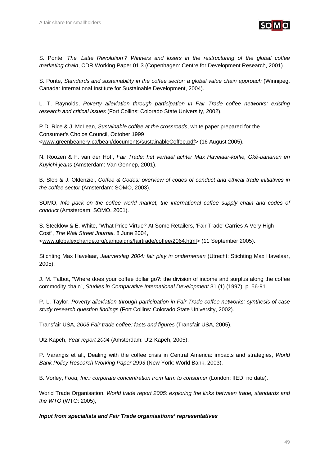

S. Ponte, *The 'Latte Revolution'? Winners and losers in the restructuring of the global coffee marketing chain*, CDR Working Paper 01.3 (Copenhagen: Centre for Development Research, 2001).

S. Ponte, *Standards and sustainability in the coffee sector: a global value chain approach* (Winnipeg, Canada: International Institute for Sustainable Development, 2004).

L. T. Raynolds, *Poverty alleviation through participation in Fair Trade coffee networks: existing research and critical issues* (Fort Collins: Colorado State University, 2002).

P.D. Rice & J. McLean, *Sustainable coffee at the crossroads*, white paper prepared for the Consumer's Choice Council, October 1999 <www.greenbeanery.ca/bean/documents/sustainableCoffee.pdf> (16 August 2005).

N. Roozen & F. van der Hoff, *Fair Trade: het verhaal achter Max Havelaar-koffie, Oké-bananen en Kuyichi-jeans* (Amsterdam: Van Gennep, 2001).

B. Slob & J. Oldenziel, *Coffee & Codes: overview of codes of conduct and ethical trade initiatives in the coffee sector* (Amsterdam: SOMO, 2003).

SOMO, *Info pack on the coffee world market, the international coffee supply chain and codes of conduct* (Amsterdam: SOMO, 2001).

S. Stecklow & E. White, "What Price Virtue? At Some Retailers, 'Fair Trade' Carries A Very High Cost", *The Wall Street Journal*, 8 June 2004, <www.globalexchange.org/campaigns/fairtrade/coffee/2064.html> (11 September 2005).

Stichting Max Havelaar, *Jaarverslag 2004: fair play in ondernemen* (Utrecht: Stichting Max Havelaar, 2005).

J. M. Talbot, "Where does your coffee dollar go?: the division of income and surplus along the coffee commodity chain", *Studies in Comparative International Development* 31 (1) (1997), p. 56-91.

P. L. Taylor, *Poverty alleviation through participation in Fair Trade coffee networks: synthesis of case study research question findings* (Fort Collins: Colorado State University, 2002).

Transfair USA, *2005 Fair trade coffee: facts and figures* (Transfair USA, 2005).

Utz Kapeh, *Year report 2004* (Amsterdam: Utz Kapeh, 2005).

P. Varangis et al., Dealing with the coffee crisis in Central America: impacts and strategies, *World Bank Policy Research Working Paper 2993* (New York: World Bank, 2003).

B. Vorley, *Food, Inc.: corporate concentration from farm to consumer* (London: IIED, no date).

World Trade Organisation, *World trade report 2005: exploring the links between trade, standards and the WTO* (WTO: 2005),

### *Input from specialists and Fair Trade organisations' representatives*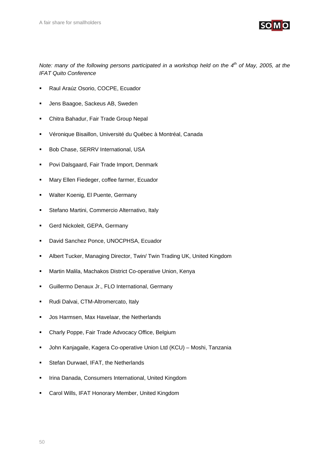

*Note: many of the following persons participated in a workshop held on the 4<sup>th</sup> of May, 2005, at the IFAT Quito Conference* 

- Raul Araúz Osorio, COCPE, Ecuador
- Jens Baagoe, Sackeus AB, Sweden
- **Chitra Bahadur, Fair Trade Group Nepal**
- Véronique Bisaillon, Université du Québec à Montréal, Canada
- **Bob Chase, SERRV International, USA**
- **Povi Dalsgaard, Fair Trade Import, Denmark**
- Mary Ellen Fiedeger, coffee farmer, Ecuador
- Walter Koenig, El Puente, Germany
- **EXECTE:** Stefano Martini, Commercio Alternativo, Italy
- Gerd Nickoleit, GEPA, Germany
- **David Sanchez Ponce, UNOCPHSA, Ecuador**
- Albert Tucker, Managing Director, Twin/ Twin Trading UK, United Kingdom
- Martin Malila, Machakos District Co-operative Union, Kenya
- Guillermo Denaux Jr., FLO International, Germany
- Rudi Dalvai, CTM-Altromercato, Italy
- **Jos Harmsen, Max Havelaar, the Netherlands**
- Charly Poppe, Fair Trade Advocacy Office, Belgium
- John Kanjagaile, Kagera Co-operative Union Ltd (KCU) Moshi, Tanzania
- **Stefan Durwael, IFAT, the Netherlands**
- Irina Danada, Consumers International, United Kingdom
- Carol Wills, IFAT Honorary Member, United Kingdom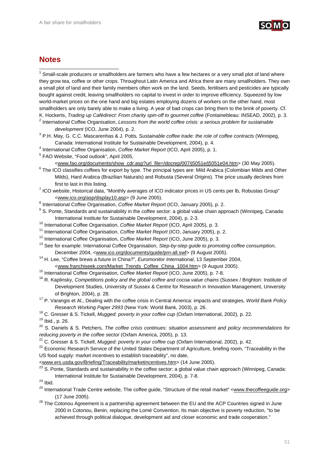

## **Notes**

 1 Small-scale producers or smallholders are farmers who have a few hectares or a very small plot of land where they grow tea, coffee or other crops. Throughout Latin America and Africa there are many smallholders. They own a small plot of land and their family members often work on the land. Seeds, fertilisers and pesticides are typically bought against credit, leaving smallholders no capital to invest in order to improve efficiency. Squeezed by low world-market prices on the one hand and big estates employing dozens of workers on the other hand, most smallholders are only barely able to make a living. A year of bad crops can bring them to the brink of poverty. Cf. K. Hockerts, *Trading up Cafédirect: From charity spin-off to gourmet coffee* (Fontainebleau: INSEAD, 2002), p. 3. 2

<sup>2</sup> International Coffee Organisation, *Lessons from the world coffee crisis: a serious problem for sustainable development* (ICO, June 2004), p. 2.

 P.H. May, G. C.C. Mascarenhas & J. Potts*, Sustainable coffee trade: the role of coffee contracts* (Winnipeg, Canada: International Institute for Sustainable Development, 2004), p. 4.

<sup>4</sup> International Coffee Organisation, *Coffee Market Report* (ICO, April 2005), p. 1.

FAO Website, "Food outlook", April 2005,

<www.fao.org/documents/show\_cdr.asp?url\_file=/docrep/007/j5051e/j5051e04.htm> (30 May 2005). 6

- $6$  The ICO classifies coffees for export by type. The principal types are: Mild Arabica (Colombian Milds and Other Milds), Hard Arabica (Brazilian Naturals) and Robusta (Several Origins). The price usually declines from first to last in this listing.
- $\frac{7}{1}$  ICO website, Historical data, "Monthly averages of ICO indicator prices in US cents per lb, Robustas Group" <www.ico.org/asp/display10.asp> (9 June 2005). 8
- <sup>8</sup> International Coffee Organisation, *Coffee Market Report* (ICO, January 2005), p. 2.<br><sup>9</sup> S. Pente, Standarda and austainability in the eaffee acetary a glabel value abein ann
- <sup>9</sup> S. Ponte, Standards and sustainability in the coffee sector: a global value chain approach (Winnipeg, Canada: International Institute for Sustainable Development, 2004), p. 2-3.<br><sup>10</sup> International Coffee Organisation, *Coffee Market Report* (ICO, April 2005), p. 3.<br><sup>11</sup> International Coffee Organisation, *Coffee Market Report* (IC
- 
- 
- 

December 2004, <www.ico.org/documents/guide/prn-all.swf> (9 August 2005). 14 H. Lee, "Coffee brews a future in China?", *Euromonitor International*, 13 September 2004,

- <www.franchiseek.com/Market\_Trends\_Coffee\_China\_1004.htm> (9 August 2005).<br><sup>15</sup> International Coffee Organisation, *Coffee Market Report* (ICO, June 2005), p. 7-8.<br><sup>16</sup> R. Kaplinsky, *Competitions policy and the global cof* Development Studies, University of Sussex & Centre for Research in Innovation Management, University of Brighton, 2004), p. 28. 17 P. Varangis et Al., Dealing with the coffee crisis in Central America: impacts and strategies, *World Bank Policy*
- 
- *Research Working Paper 2993* (New York: World Bank, 2003), p. 26.<br><sup>18</sup> C. Gresser & S. Tickell, *Mugged: poverty in your coffee cup* (Oxfam International, 2002), p. 22.<br><sup>19</sup> Ibid., p. 26.

- <sup>20</sup> S. Daniels & S. Petchers, *The coffee crisis continues: situation assessment and policy recommendations for* reducing poverty in the coffee sector (Oxfam America, 2005), p. 13.<br><sup>21</sup> C. Gresser & S. Tickell, *Mugged: poverty in your coffee cup* (Oxfam International, 2002), p. 42.<br><sup>22</sup> Economic Research Service of the United States
- 

US food supply: market incentives to establish traceability", no date,

<www.ers.usda.gov/Briefing/Traceability/marketincentives.htm> (14 June 2005). 23 S. Ponte, Standards and sustainability in the coffee sector: a global value chain approach (Winnipeg, Canada: International Institute for Sustainable Development, 2004), p. 7-8. 24 Ibid.

- <sup>25</sup> International Trade Centre website, The coffee guide, "Structure of the retail market" <www.thecoffeeguide.org> (17 June 2005). 26 The Cotonou Agreement is a partnership agreement between the EU and the ACP Countries signed in June
- 2000 in Cotonou, Benin, replacing the Lomé Convention. Its main objective is poverty reduction, "to be achieved through political dialogue, development aid and closer economic and trade cooperation."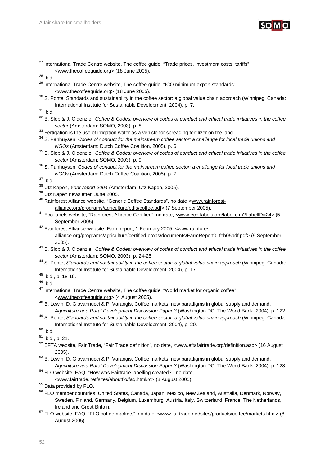

<sup>27</sup> International Trade Centre website, The coffee guide, "Trade prices, investment costs, tariffs" <www.thecoffeeguide.org> (18 June 2005).<br><sup>28</sup> Ibid

<sup>29</sup> International Trade Centre website, The coffee guide, "ICO minimum export standards"

- <www.thecoffeeguide.org> (18 June 2005). 30 S. Ponte, Standards and sustainability in the coffee sector: a global value chain approach (Winnipeg, Canada: International Institute for Sustainable Development, 2004), p. 7. 31 Ibid.
- 
- 32 B. Slob & J. Oldenziel, *Coffee & Codes: overview of codes of conduct and ethical trade initiatives in the coffee*
- 

sector (Amsterdam: SOMO, 2003), p. 8.<br><sup>33</sup> Fertigation is the use of irrigation water as a vehicle for spreading fertilizer on the land.<br><sup>34</sup> S. Panhuysen, *Codes of conduct for the mainstream coffee sector: a challenge fo* 

- *NGOs* (Amsterdam: Dutch Coffee Coalition, 2005), p. 6.<br><sup>35</sup> B. Slob & J. Oldenziel, *Coffee & Codes: overview of codes of conduct and ethical trade initiatives in the coffee*
- *sector* (Amsterdam: SOMO, 2003), p. 9. 36 S. Panhuysen, *Codes of conduct for the mainstream coffee sector: a challenge for local trade unions and NGOs* (Amsterdam: Dutch Coffee Coalition, 2005), p. 7. 37 Ibid.

- <sup>38</sup> Utz Kapeh, *Year report 2004* (Amsterdam: Utz Kapeh, 2005).<br><sup>39</sup> Utz Kapeh newsletter, June 2005.
- 
- 40 Rainforest Alliance website, "Generic Coffee Standards", no date <www.rainforest-
- alliance.org/programs/agriculture/pdfs/coffee.pdf> (7 September 2005).<br><sup>41</sup> Eco-labels website, "Rainforest Alliance Certified", no date, <www.eco-labels.org/label.cfm?LabelID=24> (5 September 2005). 42 Rainforest Alliance website, Farm report, 1 February 2005, <www.rainforest-
- alliance.org/programs/agriculture/certified-crops/documents/FarmReport01feb05pdf.pdf> (9 September
- 2005). 43 B. Slob & J. Oldenziel, *Coffee & Codes: overview of codes of conduct and ethical trade initiatives in the coffee*
- *sector* (Amsterdam: SOMO, 2003), p. 24-25. 44 S. Ponte, *Standards and sustainability in the coffee sector: a global value chain approach* (Winnipeg, Canada: International Institute for Sustainable Development, 2004), p. 17. 45 Ibid., p. 18-19.
- 
- $46$  Ibid.
- <sup>47</sup> International Trade Centre website, The coffee guide, "World market for organic coffee"
- <www.thecoffeeguide.org> (4 August 2005). 48 B. Lewin, D. Giovannucci & P. Varangis, Coffee markets: new paradigms in global supply and demand,
- Agriculture and Rural Development Discussion Paper 3 (Washington DC: The World Bank, 2004), p. 122.<br><sup>49</sup> S. Ponte, Standards and sustainability in the coffee sector: a global value chain approach (Winnipeg, Canada: International Institute for Sustainable Development, 2004), p. 20. 50 Ibid.

- 51 Ibid., p. 21.
- 52 EFTA website, Fair Trade, "Fair Trade definition", no date, <www.eftafairtrade.org/definition.asp> (16 August
- 2005).<br><sup>53</sup> B. Lewin, D. Giovannucci & P. Varangis, Coffee markets: new paradigms in global supply and demand,
- *Agriculture and Rural Development Discussion Paper 3* (Washington DC: The World Bank, 2004), p. 123. 54 FLO website, FAQ, "How was Fairtrade labelling created?", no date,
- <www.fairtrade.net/sites/aboutflo/faq.html#c> (8 August 2005). 55 Data provided by FLO.

- 56 FLO member countries: United States, Canada, Japan, Mexico, New Zealand, Australia, Denmark, Norway, Sweden, Finland, Germany, Belgium, Luxemburg, Austria, Italy, Switzerland, France, The Netherlands,
- Ireland and Great Britain.<br><sup>57</sup> FLO website, FAQ, "FLO coffee markets", no date, <<u>www.fairtrade.net/sites/products/coffee/markets.html</u>> (8 August 2005).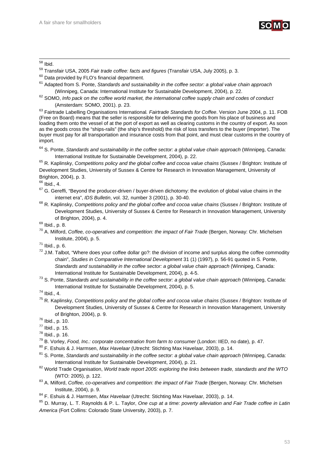

## 58 Ibid.

- <sup>59</sup> Transfair USA, 2005 *Fair trade coffee: facts and figures* (Transfair USA, July 2005), p. 3.<br><sup>60</sup> Data provided by FLO's financial department.
- 
- 61 Adapted from S. Ponte, *Standards and sustainability in the coffee sector: a global value chain approach*
- (Winnipeg, Canada: International Institute for Sustainable Development, 2004), p. 22. 62 SOMO, *Info pack on the coffee world market, the international coffee supply chain and codes of conduct* (Amsterdam: SOMO, 2001). p. 23. 63 Fairtrade Labelling Organisations International*. Fairtrade Standards for Coffee*. Version June 2004, p. 11. FOB

(Free on Board) means that the seller is responsible for delivering the goods from his place of business and loading them onto the vessel of at the port of export as well as clearing customs in the country of export. As soon as the goods cross the "ships-rails" (the ship's threshold) the risk of loss transfers to the buyer (importer). The buyer must pay for all transportation and insurance costs from that point, and must clear customs in the country of import.

International Institute for Sustainable Development, 2004), p. 22.<br><sup>65</sup> R. Kaplinsky, *Competitions policy and the global coffee and cocoa value chains* (Sussex / Brighton: Institute of Development Studies, University of Sussex & Centre for Research in Innovation Management, University of Brighton, 2004), p. 3.

 $66$  Ibid., 4.

- $67$  G. Gereffi, "Beyond the producer-driven / buyer-driven dichotomy: the evolution of global value chains in the
- internet era", *IDS Bulletin*, vol. 32, number 3 (2001), p. 30-40.<br><sup>68</sup> R. Kaplinsky, *Competitions policy and the global coffee and cocoa value chains* (Sussex / Brighton: Institute of Development Studies, University of Sussex & Centre for Research in Innovation Management, University of Brighton, 2004), p. 4.<br><sup>69</sup> Ibid., p. 8.
- 
- 70 A. Milford, *Coffee, co-operatives and competition: the impact of Fair Trade* (Bergen, Norway: Chr. Michelsen Institute, 2004), p. 5.<br><sup>71</sup> Ibid., p. 6.
- 
- $72$  J.M. Talbot, "Where does your coffee dollar go?: the division of income and surplus along the coffee commodity chain", *Studies in Comparative International Development* 31 (1) (1997), p. 56-91 quoted in S. Ponte, *Standards and sustainability in the coffee sector: a global value chain approach* (Winnipeg, Canada:
- International Institute for Sustainable Development, 2004), p. 4-5. 73 S. Ponte, *Standards and sustainability in the coffee sector: a global value chain approach* (Winnipeg, Canada: International Institute for Sustainable Development, 2004), p. 5.<br> $^{74}$  Ibid., 4.
- 
- 75 R. Kaplinsky, *Competitions policy and the global coffee and cocoa value chains* (Sussex / Brighton: Institute of Development Studies, University of Sussex & Centre for Research in Innovation Management, University of Brighton, 2004), p. 9.<br><sup>76</sup> Ibid., p. 10.
- 
- 77 Ibid., p. 15.
- 
- <sup>78</sup> Ibid., p. 16.<br><sup>79</sup> B. Vorley, *Food, Inc.: corporate concentration from farm to consumer* (London: IIED, no date), p. 47.
- 
- <sup>80</sup> F. Eshuis & J. Harmsen, *Max Havelaar* (Utrecht: Stichting Max Havelaar, 2003), p. 14.<br><sup>81</sup> S. Ponte. Standards and sustainability in the coffee sector: a global value chain approach (Winnipeg, Canada:
- International Institute for Sustainable Development, 2004), p. 21. 82 World Trade Organisation, *World trade report 2005: exploring the links between trade, standards and the WTO* (WTO: 2005), p. 122. 83 A. Milford, *Coffee, co-operatives and competition: the impact of Fair Trade* (Bergen, Norway: Chr. Michelsen
- Institute, 2004), p. 9.<br><sup>84</sup> F. Eshuis & J. Harmsen, *Max Havelaar* (Utrecht: Stichting Max Havelaar, 2003), p. 14.<br><sup>85</sup> D. Murrav, L. T. Ravnolds & P. L. Taylor, *One cup at a time: poverty alleviation and Fair Trade coff*
- 
- *America* (Fort Collins: Colorado State University, 2003), p. 7.

<sup>64</sup> S. Ponte, *Standards and sustainability in the coffee sector: a global value chain approach* (Winnipeg, Canada: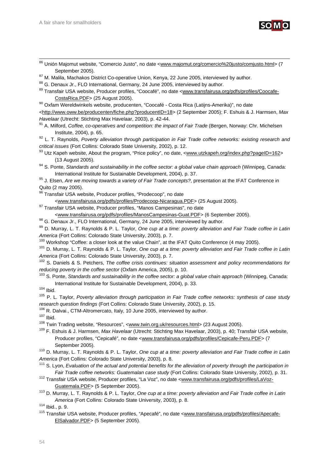

|                  | <sup>86</sup> Unión Majomut website, "Comercio Justo", no date <www.majomut.org comercio%20justo="" comjusto.html=""> (7</www.majomut.org> |  |
|------------------|--------------------------------------------------------------------------------------------------------------------------------------------|--|
| September 2005). |                                                                                                                                            |  |

 $87$  M. Malila, Machakos District Co-operative Union, Kenya, 22 June 2005, interviewed by author.  $88$  G. Denaux Jr., FLO International, Germany, 24 June 2005, interviewed by author.

- 89 Transfair USA website, Producer profiles, "Coocafé", no date <www.transfairusa.org/pdfs/profiles/Coocafe-CostaRica.PDF> (25 August 2005). 90 Oxfam Wereldwinkels website, producenten, "Coocafé - Costa Rica (Latijns-Amerika)", no date
- <http://www.oww.be/producenten/fiche.php?producentID=18> (2 September 2005); F. Eshuis & J. Harmsen, *Max*
- *Havelaar* (Utrecht: Stichting Max Havelaar, 2003), p. 42-44.<br><sup>91</sup> A. Milford, *Coffee, co-operatives and competition: the impact of Fair Trade* (Bergen, Norway: Chr. Michelsen

Institute, 2004), p. 65. 92 L. T. Raynolds, *Poverty alleviation through participation in Fair Trade coffee networks: existing research and* 

*critical issues* (Fort Collins: Colorado State University, 2002), p. 12.<br><sup>93</sup> Utz Kapeh website, About the program, "Price policy", no date, <www.utzkapeh.org/index.php?pageID=162> (13 August 2005). 94 S. Ponte, *Standards and sustainability in the coffee sector: a global value chain approach* (Winnipeg, Canada:

International Institute for Sustainable Development, 2004), p. 37. 95 J. Elsen, *Are we moving towards a variety of Fair Trade concepts?*, presentation at the IFAT Conference in

Quito (2 may 2005).

96 Transfair USA website, Producer profiles, "Prodecoop", no date

<www.transfairusa.org/pdfs/profiles/Prodecoop-Nicaragua.PDF> (25 August 2005). 97 Transfair USA website, Producer profiles, "Manos Campesinas", no date

<www.transfairusa.org/pdfs/profiles/ManosCampesinas-Guat.PDF> (6 September 2005). 98 G. Denaux Jr., FLO International, Germany, 24 June 2005, interviewed by author.

- 99 D. Murray, L. T. Raynolds & P. L. Taylor, *One cup at a time: poverty alleviation and Fair Trade coffee in Latin*  America (Fort Collins: Colorado State University, 2003), p. 7.<br><sup>100</sup> Workshop "Coffee: a closer look at the value Chain", at the IFAT Quito Conference (4 may 2005).<br><sup>101</sup> D. Murray, L. T. Raynolds & P. L. Taylor, *One cup*
- 

*America* (Fort Collins: Colorado State University, 2003), p. 7.<br><sup>102</sup> S. Daniels & S. Petchers, *The coffee crisis continues: situation assessment and policy recommendations for* 

*reducing poverty in the coffee sector* (Oxfam America, 2005), p. 10.<br><sup>103</sup> S. Ponte, *Standards and sustainability in the coffee sector: a global value chain approach (Winnipeg, Canada:* 

International Institute for Sustainable Development, 2004), p. 33.<br><sup>104</sup> Ibid.<br><sup>105</sup> P. L. Taylor, *Poverty alleviation through participation in Fair Trade coffee networks: synthesis of case study* research question findings (Fort Collins: Colorado State University, 2002), p. 15.<br><sup>106</sup> R. Dalvai., CTM-Altromercato, Italy, 10 June 2005, interviewed by author.<br><sup>107</sup> Ibid.<br><sup>108</sup> Twin Trading website, "Resources", <<u>www.</u>

Producer profiles, "Cepicafé", no date <www.transfairusa.org/pdfs/profiles/Cepicafe-Peru.PDF> (7 September 2005). 110 D. Murray, L. T. Raynolds & P. L. Taylor, *One cup at a time: poverty alleviation and Fair Trade coffee in Latin* 

*America* (Fort Collins: Colorado State University, 2003), p. 8.<br><sup>111</sup> S. Lyon, *Evaluation of the actual and potential benefits for the alleviation of poverty through the participation in* 

- *Fair Trade coffee networks: Guatemalan case study* (Fort Collins: Colorado State University, 2002), p. 31.<br><sup>112</sup> Transfair USA website, Producer profiles, "La Voz", no date <www.transfairusa.org/pdfs/profiles/LaVoz-
- Guatemala.PDF> (5 September 2005). 113 D. Murray, L. T. Raynolds & P. L. Taylor, *One cup at a time: poverty alleviation and Fair Trade coffee in Latin*

*America* (Fort Collins: Colorado State University, 2003), p. 8.<br><sup>114</sup> Ibid., p. 9.<br><sup>115</sup> Transfair USA website, Producer profiles, "Apecafé", no date <www.transfairusa.org/pdfs/profiles/Apecafe-ElSalvador.PDF> (5 September 2005).